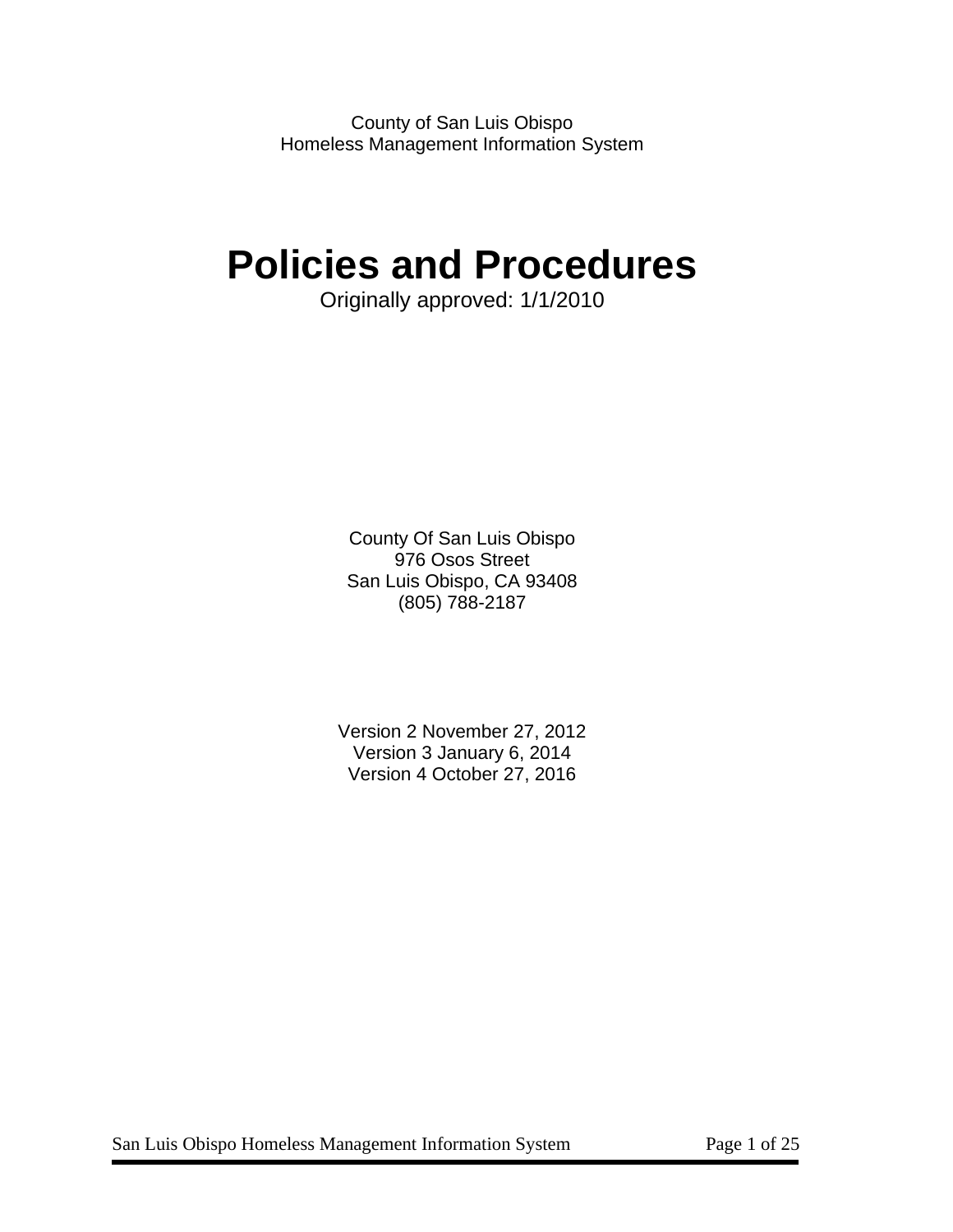County of San Luis Obispo Homeless Management Information System

# **Policies and Procedures**

Originally approved: 1/1/2010

County Of San Luis Obispo 976 Osos Street San Luis Obispo, CA 93408 (805) 788-2187

Version 2 November 27, 2012 Version 3 January 6, 2014 Version 4 October 27, 2016

San Luis Obispo Homeless Management Information System Page 1 of 25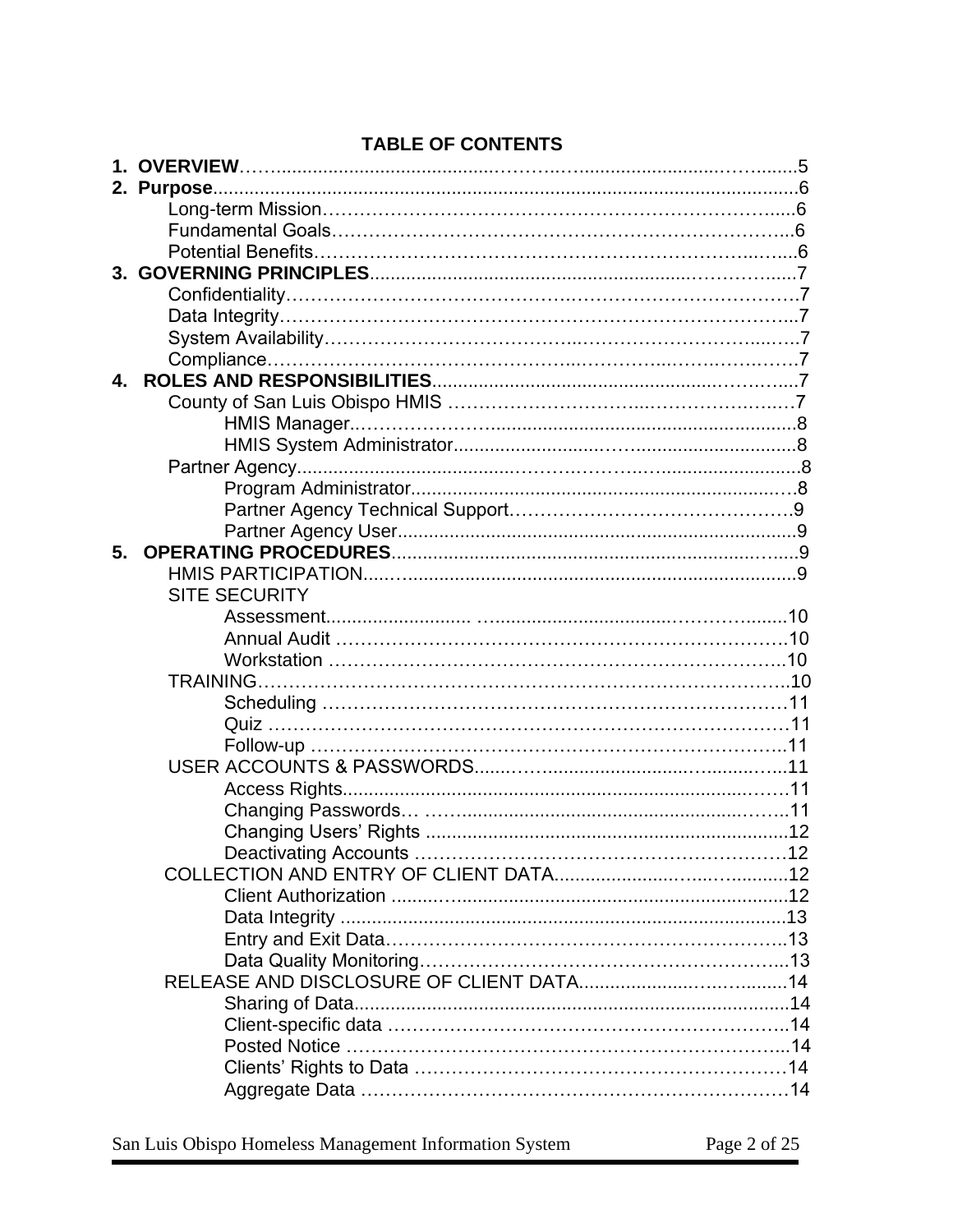| 4. |                      |  |
|----|----------------------|--|
|    |                      |  |
|    |                      |  |
|    |                      |  |
|    |                      |  |
|    |                      |  |
|    |                      |  |
|    |                      |  |
| 5. |                      |  |
|    |                      |  |
|    | <b>SITE SECURITY</b> |  |
|    |                      |  |
|    |                      |  |
|    |                      |  |
|    |                      |  |
|    |                      |  |
|    |                      |  |
|    |                      |  |
|    |                      |  |
|    |                      |  |
|    |                      |  |
|    |                      |  |
|    |                      |  |
|    |                      |  |
|    |                      |  |
|    |                      |  |
|    |                      |  |
|    |                      |  |
|    |                      |  |
|    |                      |  |
|    |                      |  |
|    |                      |  |
|    |                      |  |
|    |                      |  |
|    |                      |  |

## **TABLE OF CONTENTS**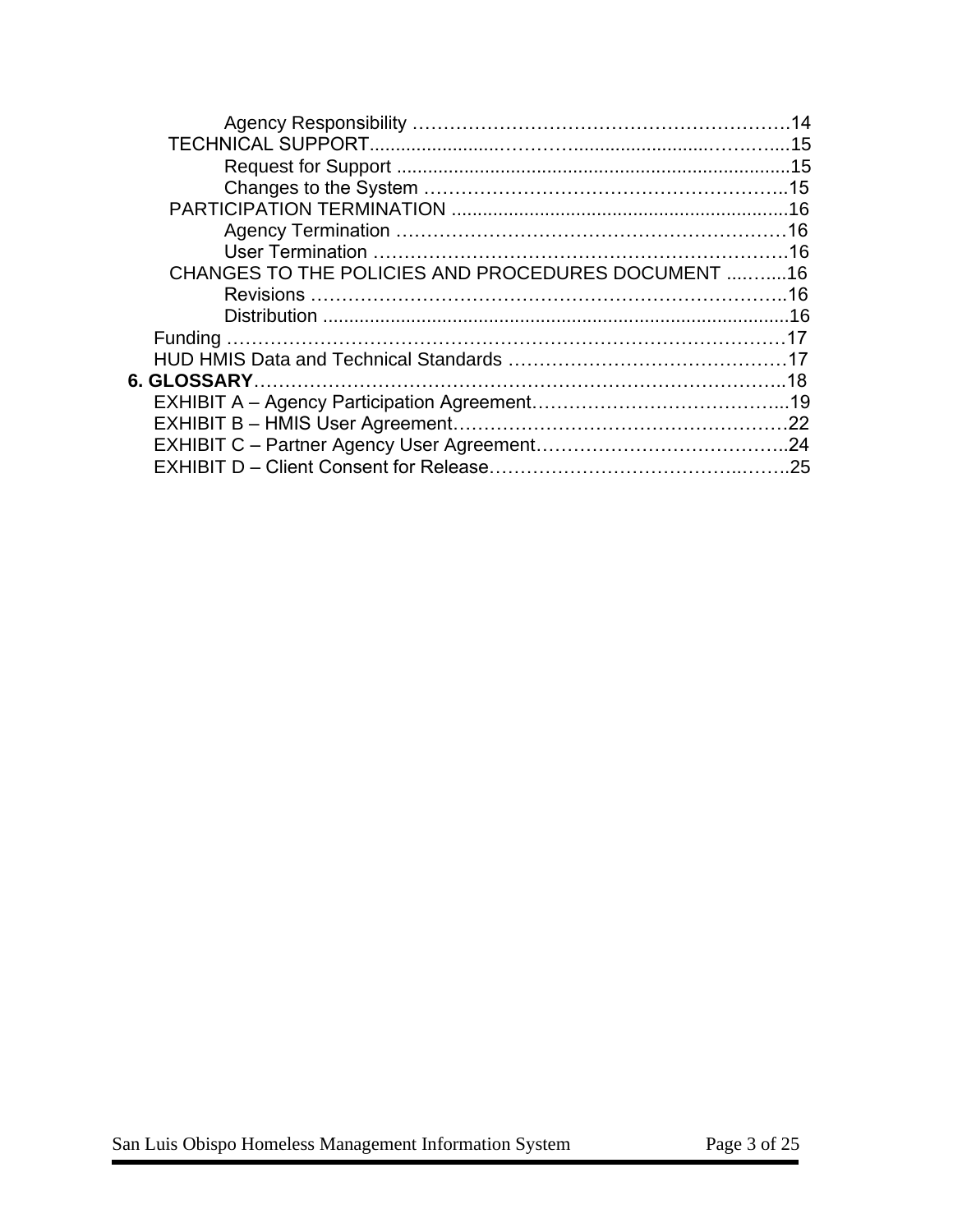| CHANGES TO THE POLICIES AND PROCEDURES DOCUMENT 16 |  |
|----------------------------------------------------|--|
|                                                    |  |
|                                                    |  |
|                                                    |  |
|                                                    |  |
|                                                    |  |
|                                                    |  |
|                                                    |  |
|                                                    |  |
|                                                    |  |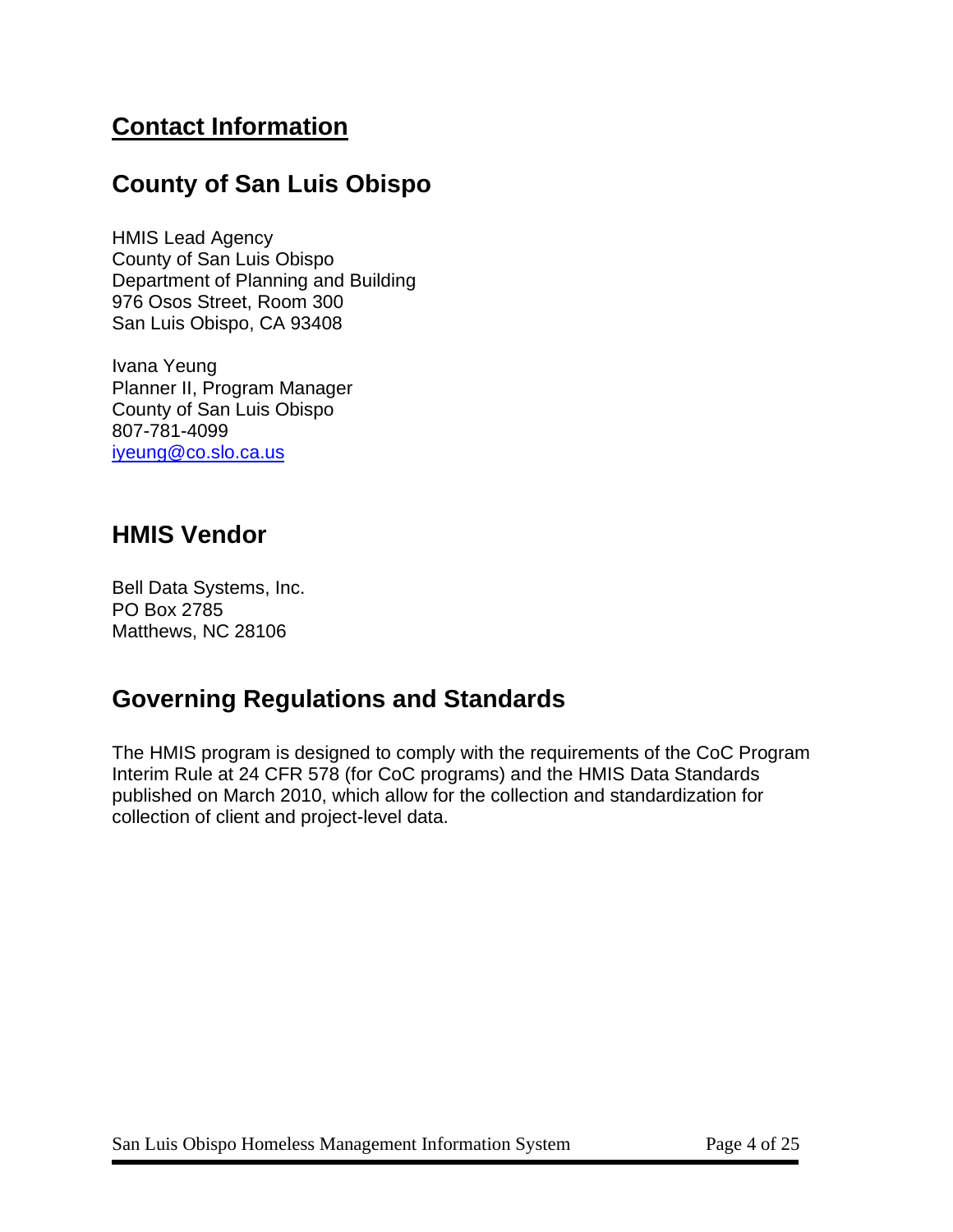## **Contact Information**

## **County of San Luis Obispo**

HMIS Lead Agency County of San Luis Obispo Department of Planning and Building 976 Osos Street, Room 300 San Luis Obispo, CA 93408

Ivana Yeung Planner II, Program Manager County of San Luis Obispo 807-781-4099 [iyeung@co.slo.ca.us](mailto:iyeung@co.slo.ca.us)

## **HMIS Vendor**

Bell Data Systems, Inc. PO Box 2785 Matthews, NC 28106

## **Governing Regulations and Standards**

The HMIS program is designed to comply with the requirements of the CoC Program Interim Rule at 24 CFR 578 (for CoC programs) and the HMIS Data Standards published on March 2010, which allow for the collection and standardization for collection of client and project-level data.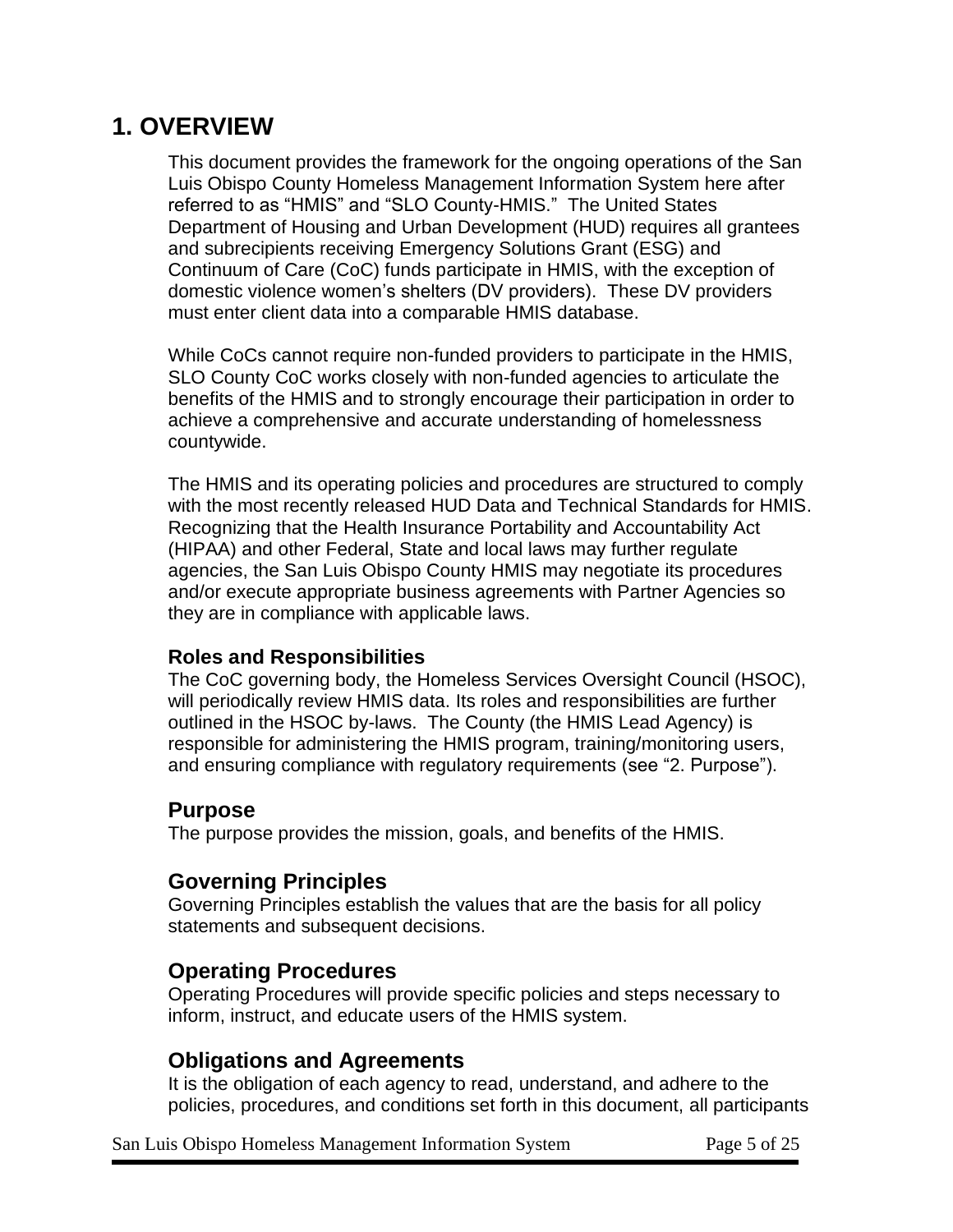## **1. OVERVIEW**

This document provides the framework for the ongoing operations of the San Luis Obispo County Homeless Management Information System here after referred to as "HMIS" and "SLO County-HMIS." The United States Department of Housing and Urban Development (HUD) requires all grantees and subrecipients receiving Emergency Solutions Grant (ESG) and Continuum of Care (CoC) funds participate in HMIS, with the exception of domestic violence women's shelters (DV providers). These DV providers must enter client data into a comparable HMIS database.

While CoCs cannot require non-funded providers to participate in the HMIS, SLO County CoC works closely with non-funded agencies to articulate the benefits of the HMIS and to strongly encourage their participation in order to achieve a comprehensive and accurate understanding of homelessness countywide.

The HMIS and its operating policies and procedures are structured to comply with the most recently released HUD Data and Technical Standards for HMIS. Recognizing that the Health Insurance Portability and Accountability Act (HIPAA) and other Federal, State and local laws may further regulate agencies, the San Luis Obispo County HMIS may negotiate its procedures and/or execute appropriate business agreements with Partner Agencies so they are in compliance with applicable laws.

#### **Roles and Responsibilities**

The CoC governing body, the Homeless Services Oversight Council (HSOC), will periodically review HMIS data. Its roles and responsibilities are further outlined in the HSOC by-laws. The County (the HMIS Lead Agency) is responsible for administering the HMIS program, training/monitoring users, and ensuring compliance with regulatory requirements (see "2. Purpose").

### **Purpose**

The purpose provides the mission, goals, and benefits of the HMIS.

#### **Governing Principles**

Governing Principles establish the values that are the basis for all policy statements and subsequent decisions.

#### **Operating Procedures**

Operating Procedures will provide specific policies and steps necessary to inform, instruct, and educate users of the HMIS system.

### **Obligations and Agreements**

It is the obligation of each agency to read, understand, and adhere to the policies, procedures, and conditions set forth in this document, all participants

San Luis Obispo Homeless Management Information System Page 5 of 25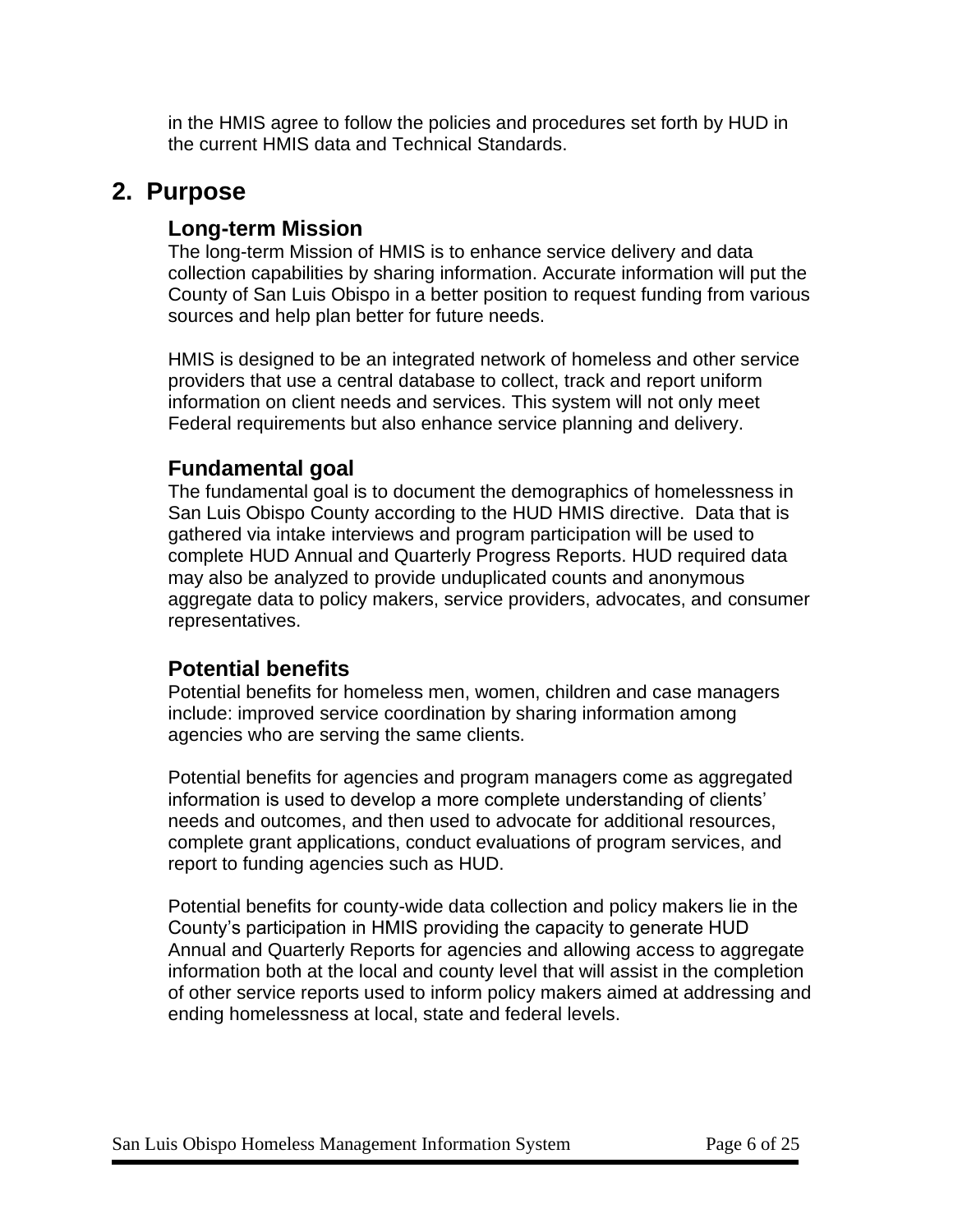in the HMIS agree to follow the policies and procedures set forth by HUD in the current HMIS data and Technical Standards.

## **2. Purpose**

## **Long-term Mission**

The long-term Mission of HMIS is to enhance service delivery and data collection capabilities by sharing information. Accurate information will put the County of San Luis Obispo in a better position to request funding from various sources and help plan better for future needs.

HMIS is designed to be an integrated network of homeless and other service providers that use a central database to collect, track and report uniform information on client needs and services. This system will not only meet Federal requirements but also enhance service planning and delivery.

## **Fundamental goal**

The fundamental goal is to document the demographics of homelessness in San Luis Obispo County according to the HUD HMIS directive. Data that is gathered via intake interviews and program participation will be used to complete HUD Annual and Quarterly Progress Reports. HUD required data may also be analyzed to provide unduplicated counts and anonymous aggregate data to policy makers, service providers, advocates, and consumer representatives.

### **Potential benefits**

Potential benefits for homeless men, women, children and case managers include: improved service coordination by sharing information among agencies who are serving the same clients.

Potential benefits for agencies and program managers come as aggregated information is used to develop a more complete understanding of clients' needs and outcomes, and then used to advocate for additional resources, complete grant applications, conduct evaluations of program services, and report to funding agencies such as HUD.

Potential benefits for county-wide data collection and policy makers lie in the County's participation in HMIS providing the capacity to generate HUD Annual and Quarterly Reports for agencies and allowing access to aggregate information both at the local and county level that will assist in the completion of other service reports used to inform policy makers aimed at addressing and ending homelessness at local, state and federal levels.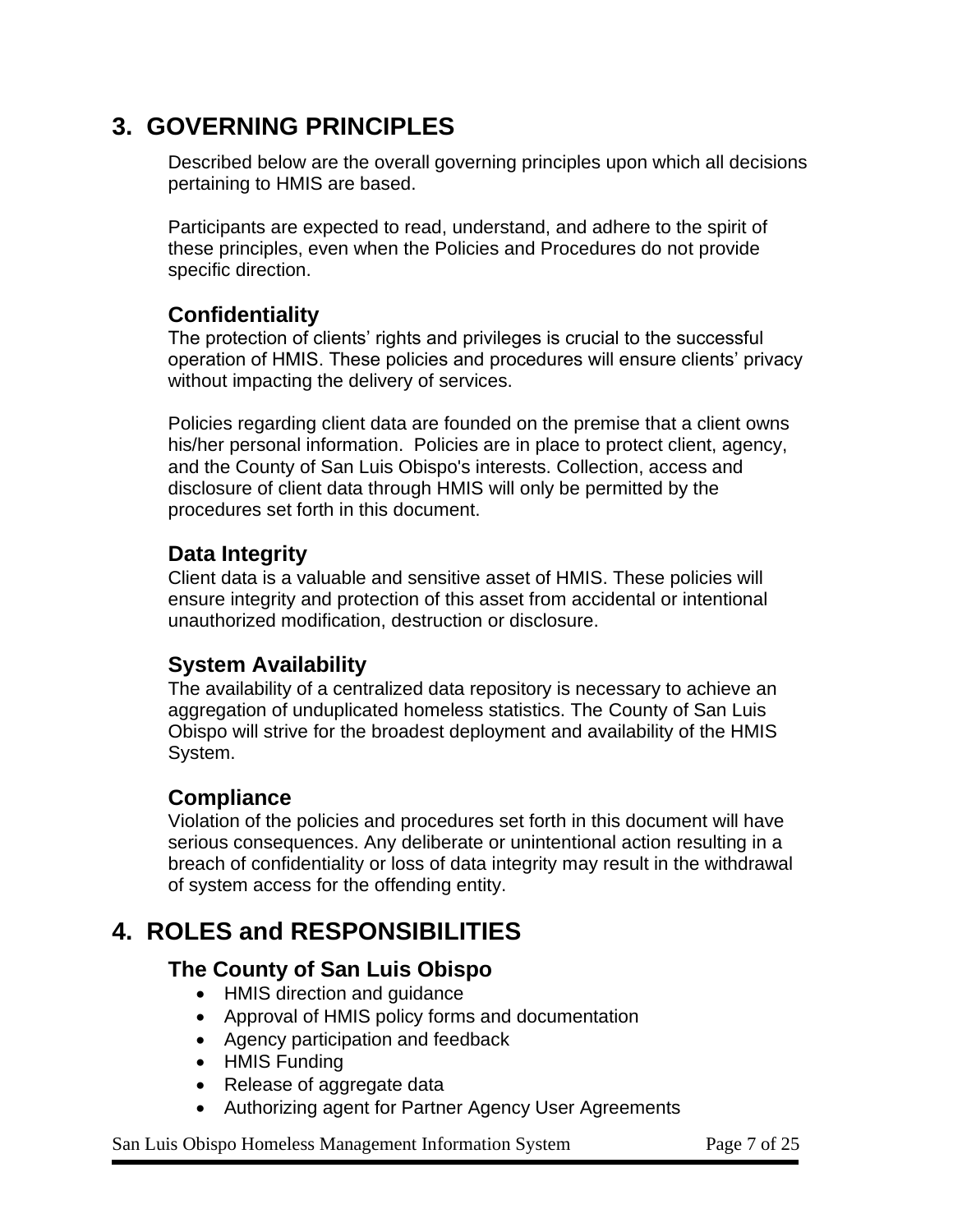## **3. GOVERNING PRINCIPLES**

Described below are the overall governing principles upon which all decisions pertaining to HMIS are based.

Participants are expected to read, understand, and adhere to the spirit of these principles, even when the Policies and Procedures do not provide specific direction.

## **Confidentiality**

The protection of clients' rights and privileges is crucial to the successful operation of HMIS. These policies and procedures will ensure clients' privacy without impacting the delivery of services.

Policies regarding client data are founded on the premise that a client owns his/her personal information. Policies are in place to protect client, agency, and the County of San Luis Obispo's interests. Collection, access and disclosure of client data through HMIS will only be permitted by the procedures set forth in this document.

## **Data Integrity**

Client data is a valuable and sensitive asset of HMIS. These policies will ensure integrity and protection of this asset from accidental or intentional unauthorized modification, destruction or disclosure.

## **System Availability**

The availability of a centralized data repository is necessary to achieve an aggregation of unduplicated homeless statistics. The County of San Luis Obispo will strive for the broadest deployment and availability of the HMIS System.

## **Compliance**

Violation of the policies and procedures set forth in this document will have serious consequences. Any deliberate or unintentional action resulting in a breach of confidentiality or loss of data integrity may result in the withdrawal of system access for the offending entity.

## **4. ROLES and RESPONSIBILITIES**

## **The County of San Luis Obispo**

- HMIS direction and guidance
- Approval of HMIS policy forms and documentation
- Agency participation and feedback
- HMIS Funding
- Release of aggregate data
- Authorizing agent for Partner Agency User Agreements

#### San Luis Obispo Homeless Management Information System Page 7 of 25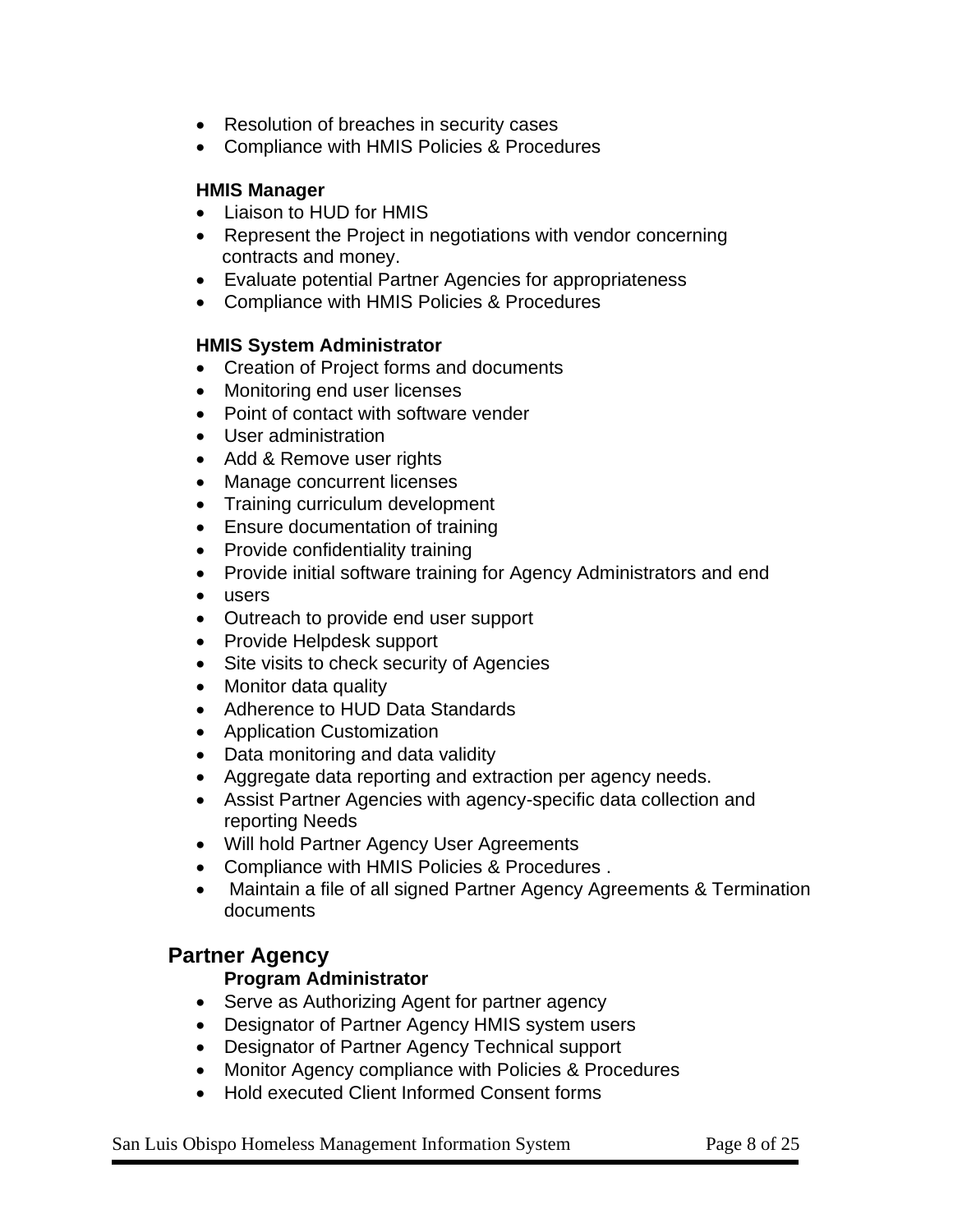- Resolution of breaches in security cases
- Compliance with HMIS Policies & Procedures

#### **HMIS Manager**

- Liaison to HUD for HMIS
- Represent the Project in negotiations with vendor concerning contracts and money.
- Evaluate potential Partner Agencies for appropriateness
- Compliance with HMIS Policies & Procedures

#### **HMIS System Administrator**

- Creation of Project forms and documents
- Monitoring end user licenses
- Point of contact with software vender
- User administration
- Add & Remove user rights
- Manage concurrent licenses
- Training curriculum development
- Ensure documentation of training
- Provide confidentiality training
- Provide initial software training for Agency Administrators and end
- users
- Outreach to provide end user support
- Provide Helpdesk support
- Site visits to check security of Agencies
- Monitor data quality
- Adherence to HUD Data Standards
- Application Customization
- Data monitoring and data validity
- Aggregate data reporting and extraction per agency needs.
- Assist Partner Agencies with agency-specific data collection and reporting Needs
- Will hold Partner Agency User Agreements
- Compliance with HMIS Policies & Procedures .
- Maintain a file of all signed Partner Agency Agreements & Termination documents

### **Partner Agency**

#### **Program Administrator**

- Serve as Authorizing Agent for partner agency
- Designator of Partner Agency HMIS system users
- Designator of Partner Agency Technical support
- Monitor Agency compliance with Policies & Procedures
- Hold executed Client Informed Consent forms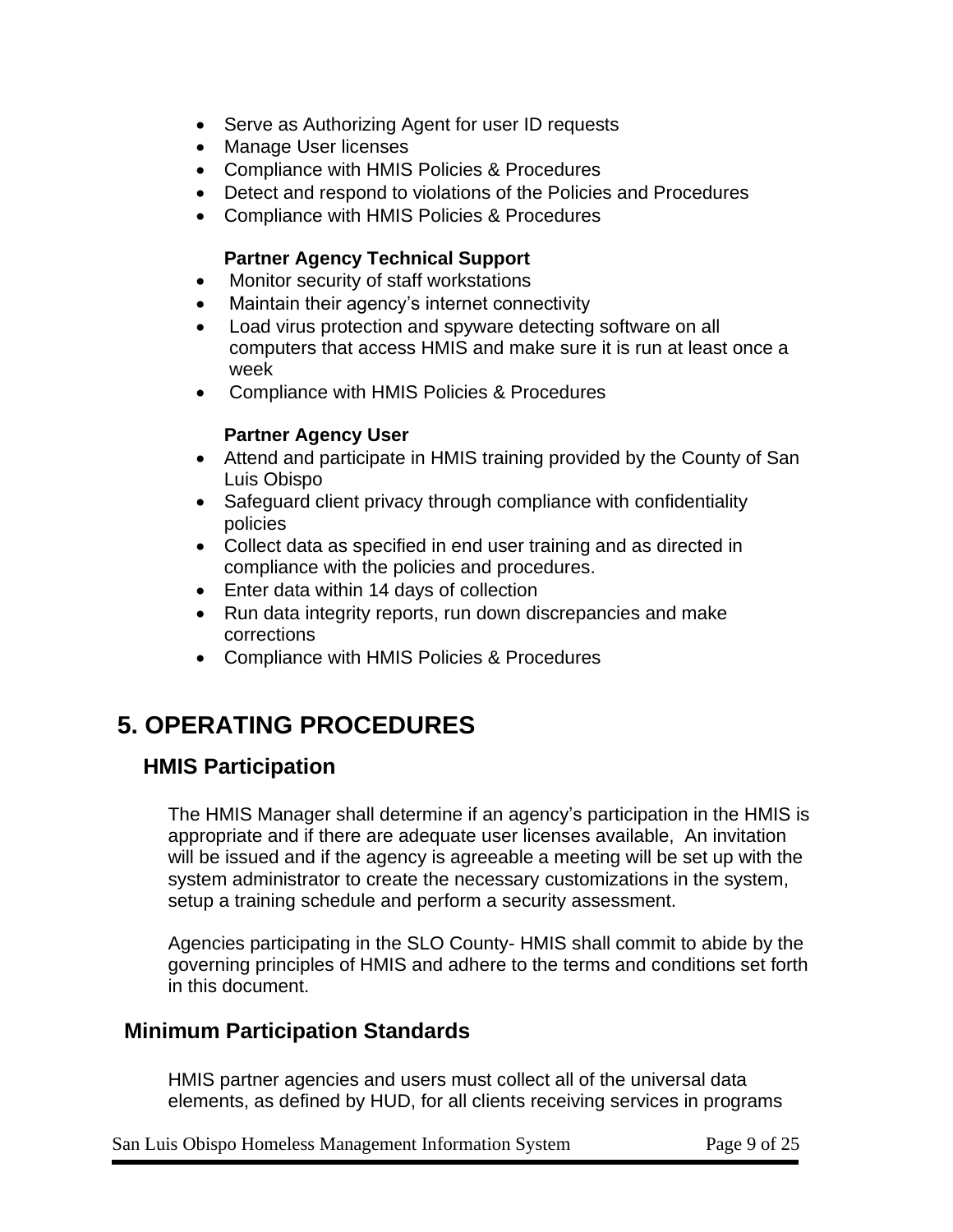- Serve as Authorizing Agent for user ID requests
- Manage User licenses
- Compliance with HMIS Policies & Procedures
- Detect and respond to violations of the Policies and Procedures
- Compliance with HMIS Policies & Procedures

#### **Partner Agency Technical Support**

- Monitor security of staff workstations
- Maintain their agency's internet connectivity
- Load virus protection and spyware detecting software on all computers that access HMIS and make sure it is run at least once a week
- Compliance with HMIS Policies & Procedures

#### **Partner Agency User**

- Attend and participate in HMIS training provided by the County of San Luis Obispo
- Safeguard client privacy through compliance with confidentiality policies
- Collect data as specified in end user training and as directed in compliance with the policies and procedures.
- Enter data within 14 days of collection
- Run data integrity reports, run down discrepancies and make corrections
- Compliance with HMIS Policies & Procedures

## **5. OPERATING PROCEDURES**

### **HMIS Participation**

The HMIS Manager shall determine if an agency's participation in the HMIS is appropriate and if there are adequate user licenses available, An invitation will be issued and if the agency is agreeable a meeting will be set up with the system administrator to create the necessary customizations in the system, setup a training schedule and perform a security assessment.

Agencies participating in the SLO County- HMIS shall commit to abide by the governing principles of HMIS and adhere to the terms and conditions set forth in this document.

### **Minimum Participation Standards**

HMIS partner agencies and users must collect all of the universal data elements, as defined by HUD, for all clients receiving services in programs

San Luis Obispo Homeless Management Information System Page 9 of 25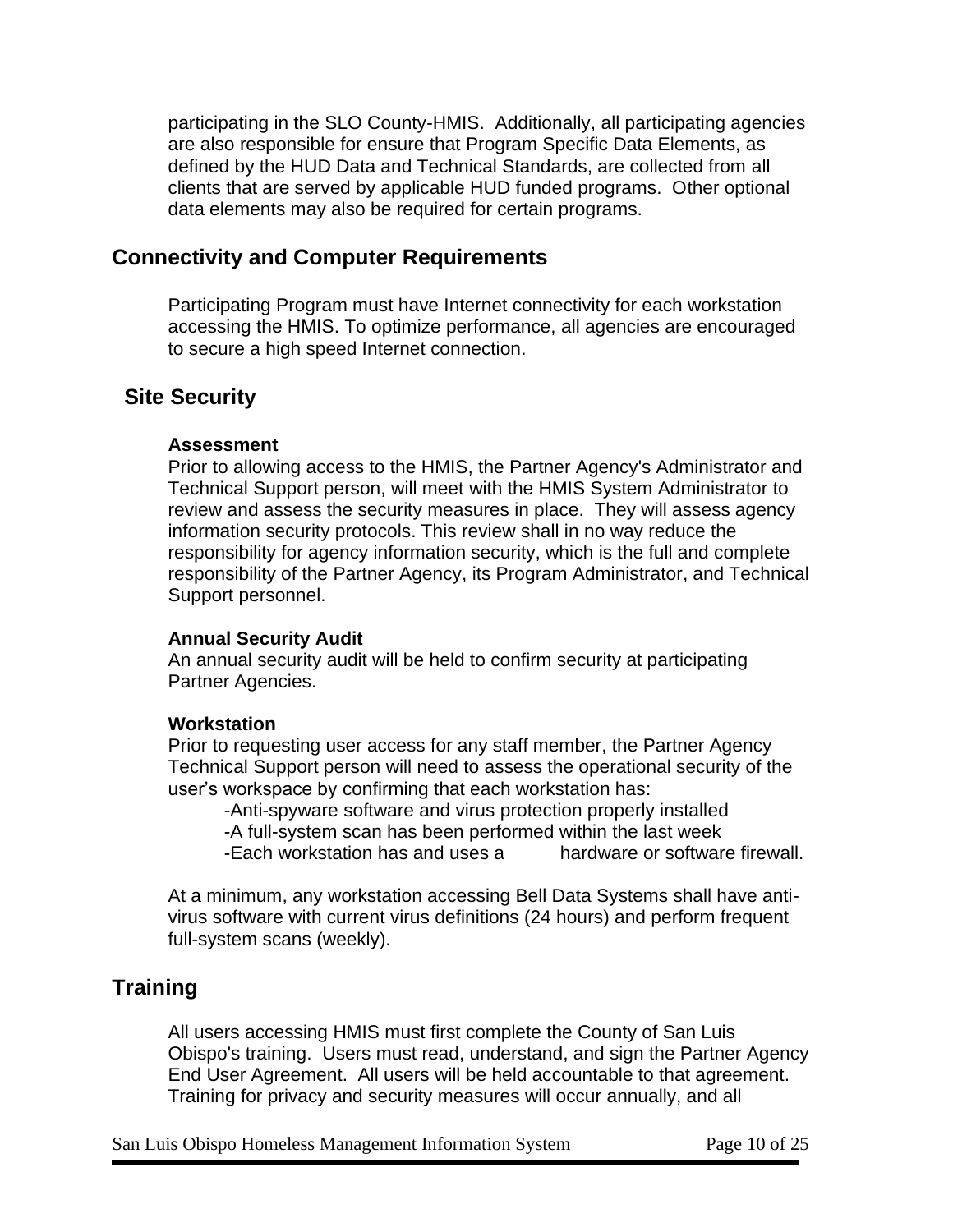participating in the SLO County-HMIS. Additionally, all participating agencies are also responsible for ensure that Program Specific Data Elements, as defined by the HUD Data and Technical Standards, are collected from all clients that are served by applicable HUD funded programs. Other optional data elements may also be required for certain programs.

### **Connectivity and Computer Requirements**

Participating Program must have Internet connectivity for each workstation accessing the HMIS. To optimize performance, all agencies are encouraged to secure a high speed Internet connection.

## **Site Security**

#### **Assessment**

Prior to allowing access to the HMIS, the Partner Agency's Administrator and Technical Support person, will meet with the HMIS System Administrator to review and assess the security measures in place. They will assess agency information security protocols. This review shall in no way reduce the responsibility for agency information security, which is the full and complete responsibility of the Partner Agency, its Program Administrator, and Technical Support personnel.

#### **Annual Security Audit**

An annual security audit will be held to confirm security at participating Partner Agencies.

#### **Workstation**

Prior to requesting user access for any staff member, the Partner Agency Technical Support person will need to assess the operational security of the user's workspace by confirming that each workstation has:

-Anti-spyware software and virus protection properly installed -A full-system scan has been performed within the last week -Each workstation has and uses a hardware or software firewall.

At a minimum, any workstation accessing Bell Data Systems shall have antivirus software with current virus definitions (24 hours) and perform frequent full-system scans (weekly).

## **Training**

All users accessing HMIS must first complete the County of San Luis Obispo's training. Users must read, understand, and sign the Partner Agency End User Agreement. All users will be held accountable to that agreement. Training for privacy and security measures will occur annually, and all

San Luis Obispo Homeless Management Information System Page 10 of 25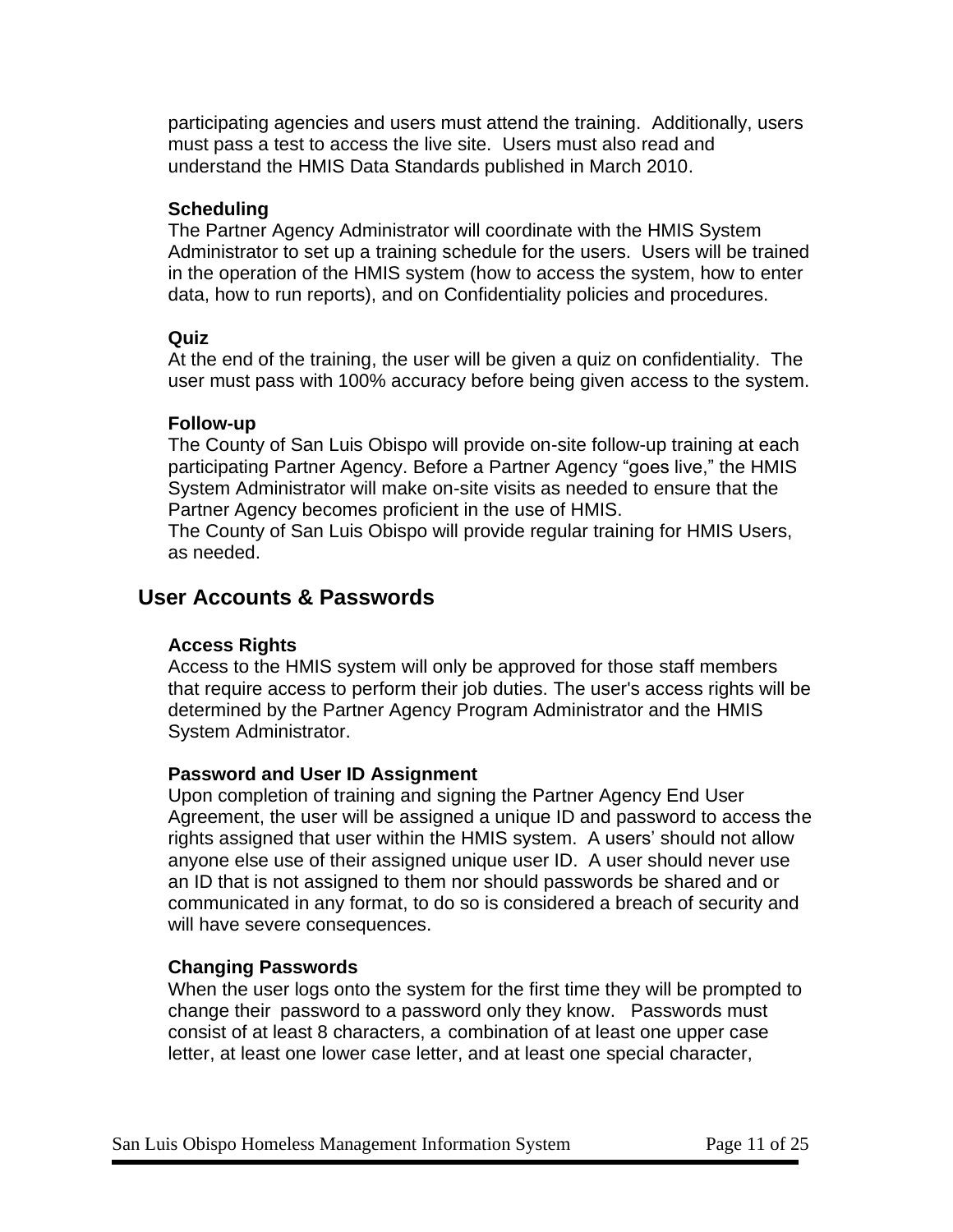participating agencies and users must attend the training. Additionally, users must pass a test to access the live site. Users must also read and understand the HMIS Data Standards published in March 2010.

#### **Scheduling**

The Partner Agency Administrator will coordinate with the HMIS System Administrator to set up a training schedule for the users. Users will be trained in the operation of the HMIS system (how to access the system, how to enter data, how to run reports), and on Confidentiality policies and procedures.

#### **Quiz**

At the end of the training, the user will be given a quiz on confidentiality. The user must pass with 100% accuracy before being given access to the system.

#### **Follow-up**

The County of San Luis Obispo will provide on-site follow-up training at each participating Partner Agency. Before a Partner Agency "goes live," the HMIS System Administrator will make on-site visits as needed to ensure that the Partner Agency becomes proficient in the use of HMIS.

The County of San Luis Obispo will provide regular training for HMIS Users, as needed.

## **User Accounts & Passwords**

#### **Access Rights**

Access to the HMIS system will only be approved for those staff members that require access to perform their job duties. The user's access rights will be determined by the Partner Agency Program Administrator and the HMIS System Administrator.

#### **Password and User ID Assignment**

Upon completion of training and signing the Partner Agency End User Agreement, the user will be assigned a unique ID and password to access the rights assigned that user within the HMIS system. A users' should not allow anyone else use of their assigned unique user ID. A user should never use an ID that is not assigned to them nor should passwords be shared and or communicated in any format, to do so is considered a breach of security and will have severe consequences.

#### **Changing Passwords**

When the user logs onto the system for the first time they will be prompted to change their password to a password only they know. Passwords must consist of at least 8 characters, a combination of at least one upper case letter, at least one lower case letter, and at least one special character,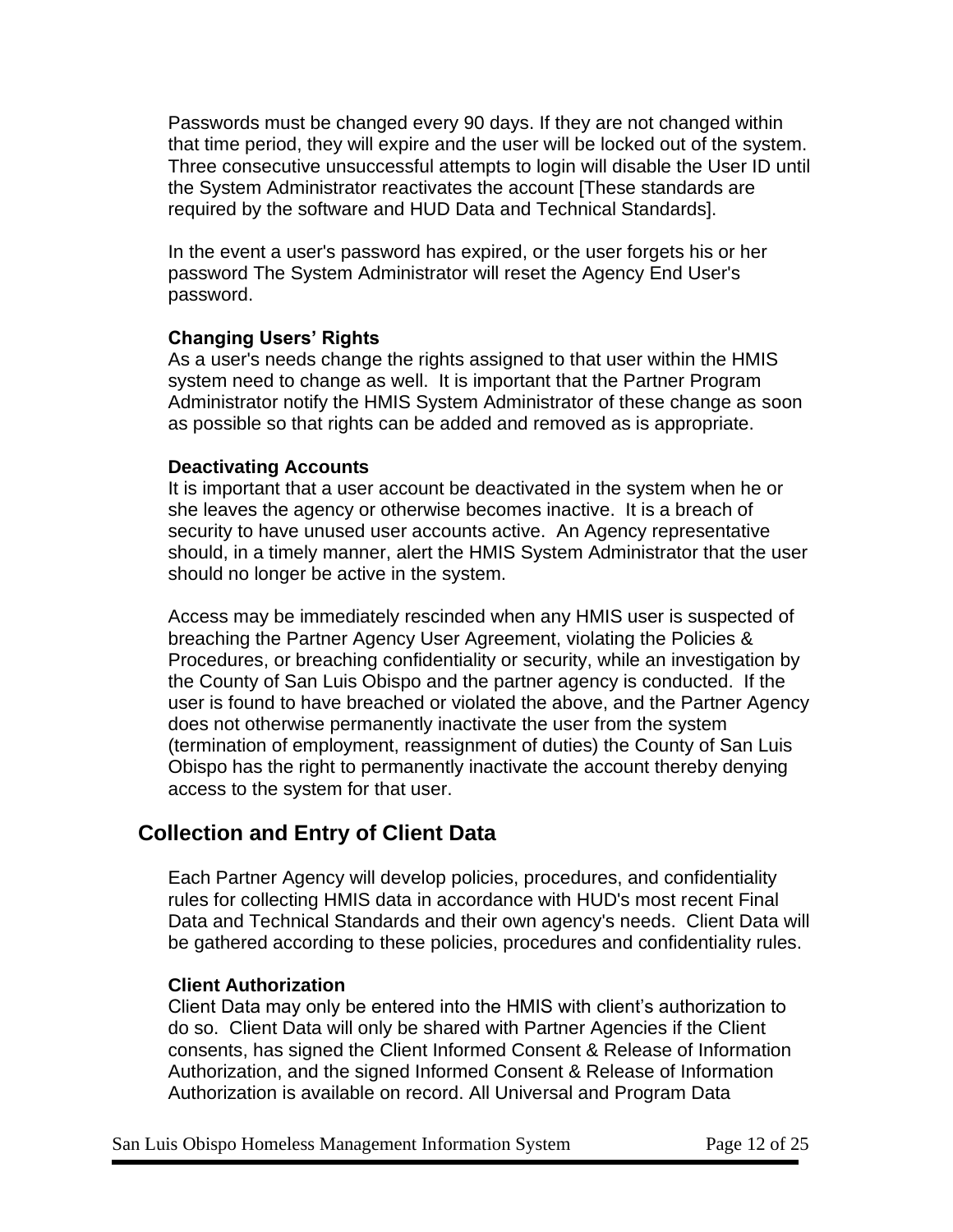Passwords must be changed every 90 days. If they are not changed within that time period, they will expire and the user will be locked out of the system. Three consecutive unsuccessful attempts to login will disable the User ID until the System Administrator reactivates the account [These standards are required by the software and HUD Data and Technical Standards].

In the event a user's password has expired, or the user forgets his or her password The System Administrator will reset the Agency End User's password.

#### **Changing Users' Rights**

As a user's needs change the rights assigned to that user within the HMIS system need to change as well. It is important that the Partner Program Administrator notify the HMIS System Administrator of these change as soon as possible so that rights can be added and removed as is appropriate.

#### **Deactivating Accounts**

It is important that a user account be deactivated in the system when he or she leaves the agency or otherwise becomes inactive. It is a breach of security to have unused user accounts active. An Agency representative should, in a timely manner, alert the HMIS System Administrator that the user should no longer be active in the system.

Access may be immediately rescinded when any HMIS user is suspected of breaching the Partner Agency User Agreement, violating the Policies & Procedures, or breaching confidentiality or security, while an investigation by the County of San Luis Obispo and the partner agency is conducted. If the user is found to have breached or violated the above, and the Partner Agency does not otherwise permanently inactivate the user from the system (termination of employment, reassignment of duties) the County of San Luis Obispo has the right to permanently inactivate the account thereby denying access to the system for that user.

## **Collection and Entry of Client Data**

Each Partner Agency will develop policies, procedures, and confidentiality rules for collecting HMIS data in accordance with HUD's most recent Final Data and Technical Standards and their own agency's needs. Client Data will be gathered according to these policies, procedures and confidentiality rules.

#### **Client Authorization**

Client Data may only be entered into the HMIS with client's authorization to do so. Client Data will only be shared with Partner Agencies if the Client consents, has signed the Client Informed Consent & Release of Information Authorization, and the signed Informed Consent & Release of Information Authorization is available on record. All Universal and Program Data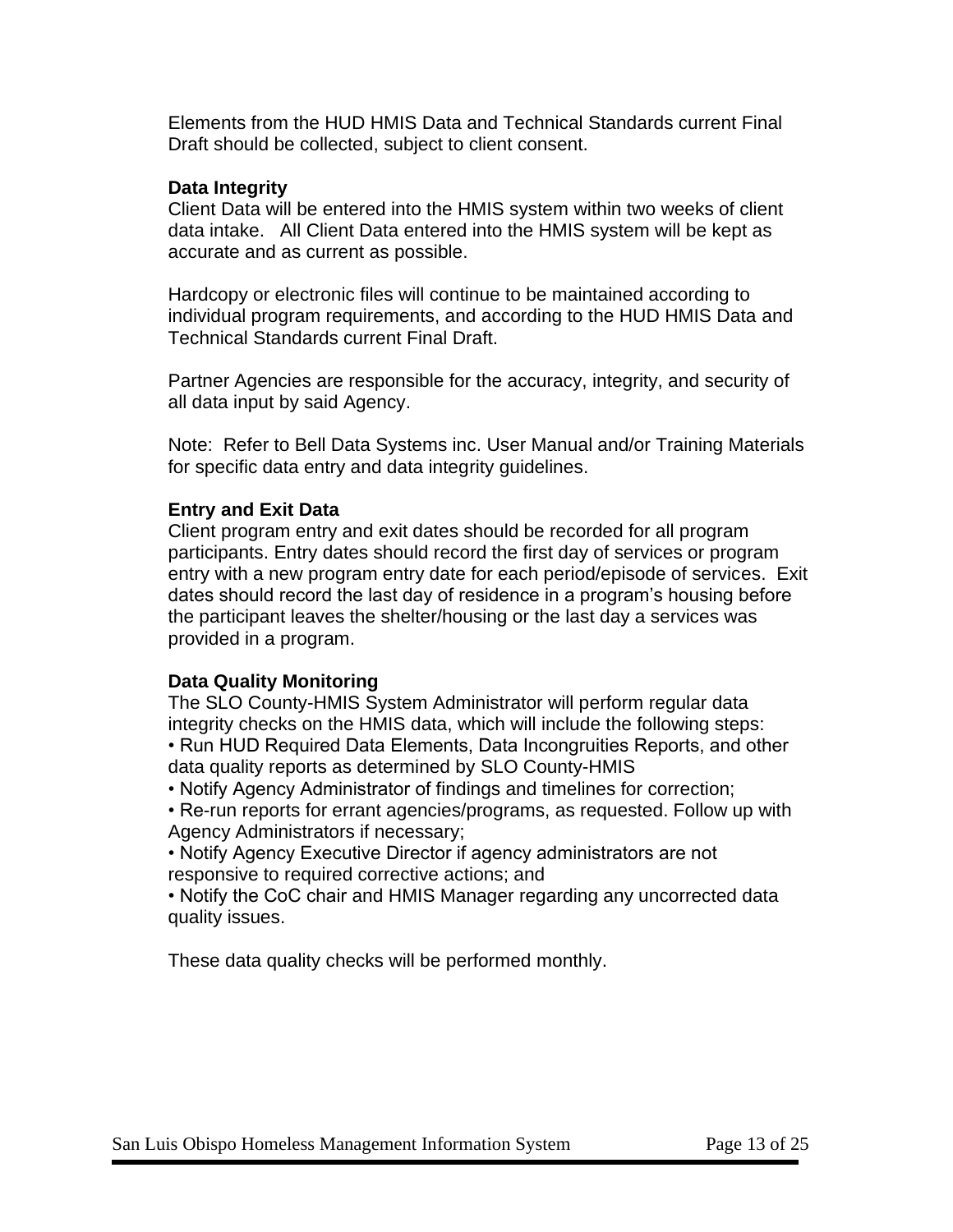Elements from the HUD HMIS Data and Technical Standards current Final Draft should be collected, subject to client consent.

#### **Data Integrity**

Client Data will be entered into the HMIS system within two weeks of client data intake. All Client Data entered into the HMIS system will be kept as accurate and as current as possible.

Hardcopy or electronic files will continue to be maintained according to individual program requirements, and according to the HUD HMIS Data and Technical Standards current Final Draft.

Partner Agencies are responsible for the accuracy, integrity, and security of all data input by said Agency.

Note: Refer to Bell Data Systems inc. User Manual and/or Training Materials for specific data entry and data integrity guidelines.

#### **Entry and Exit Data**

Client program entry and exit dates should be recorded for all program participants. Entry dates should record the first day of services or program entry with a new program entry date for each period/episode of services. Exit dates should record the last day of residence in a program's housing before the participant leaves the shelter/housing or the last day a services was provided in a program.

#### **Data Quality Monitoring**

The SLO County-HMIS System Administrator will perform regular data integrity checks on the HMIS data, which will include the following steps:

• Run HUD Required Data Elements, Data Incongruities Reports, and other data quality reports as determined by SLO County-HMIS

• Notify Agency Administrator of findings and timelines for correction;

• Re-run reports for errant agencies/programs, as requested. Follow up with Agency Administrators if necessary;

• Notify Agency Executive Director if agency administrators are not responsive to required corrective actions; and

• Notify the CoC chair and HMIS Manager regarding any uncorrected data quality issues.

These data quality checks will be performed monthly.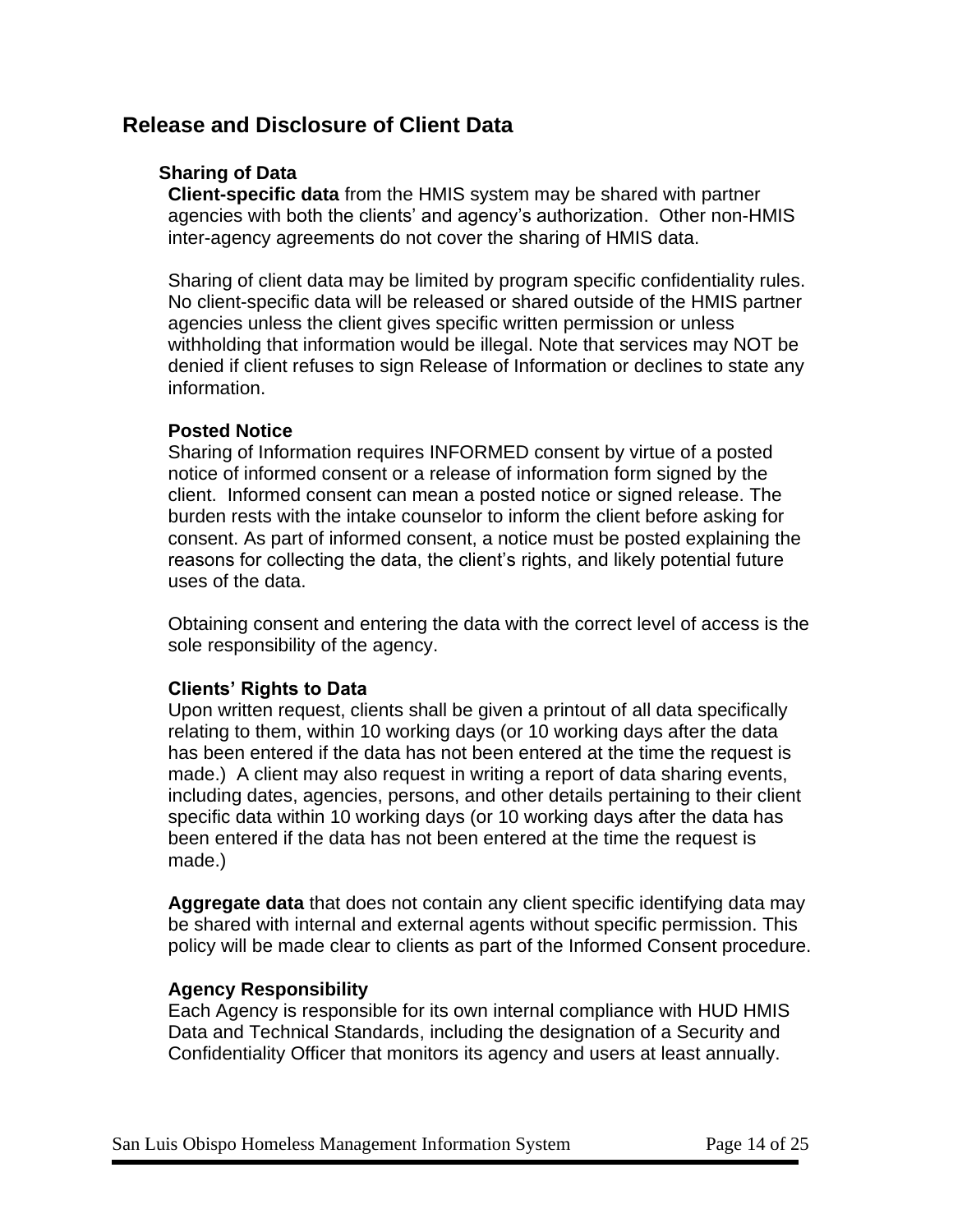## **Release and Disclosure of Client Data**

#### **Sharing of Data**

**Client-specific data** from the HMIS system may be shared with partner agencies with both the clients' and agency's authorization. Other non-HMIS inter-agency agreements do not cover the sharing of HMIS data.

Sharing of client data may be limited by program specific confidentiality rules. No client-specific data will be released or shared outside of the HMIS partner agencies unless the client gives specific written permission or unless withholding that information would be illegal. Note that services may NOT be denied if client refuses to sign Release of Information or declines to state any information.

#### **Posted Notice**

Sharing of Information requires INFORMED consent by virtue of a posted notice of informed consent or a release of information form signed by the client. Informed consent can mean a posted notice or signed release. The burden rests with the intake counselor to inform the client before asking for consent. As part of informed consent, a notice must be posted explaining the reasons for collecting the data, the client's rights, and likely potential future uses of the data.

Obtaining consent and entering the data with the correct level of access is the sole responsibility of the agency.

#### **Clients' Rights to Data**

Upon written request, clients shall be given a printout of all data specifically relating to them, within 10 working days (or 10 working days after the data has been entered if the data has not been entered at the time the request is made.) A client may also request in writing a report of data sharing events, including dates, agencies, persons, and other details pertaining to their client specific data within 10 working days (or 10 working days after the data has been entered if the data has not been entered at the time the request is made.)

**Aggregate data** that does not contain any client specific identifying data may be shared with internal and external agents without specific permission. This policy will be made clear to clients as part of the Informed Consent procedure.

#### **Agency Responsibility**

Each Agency is responsible for its own internal compliance with HUD HMIS Data and Technical Standards, including the designation of a Security and Confidentiality Officer that monitors its agency and users at least annually.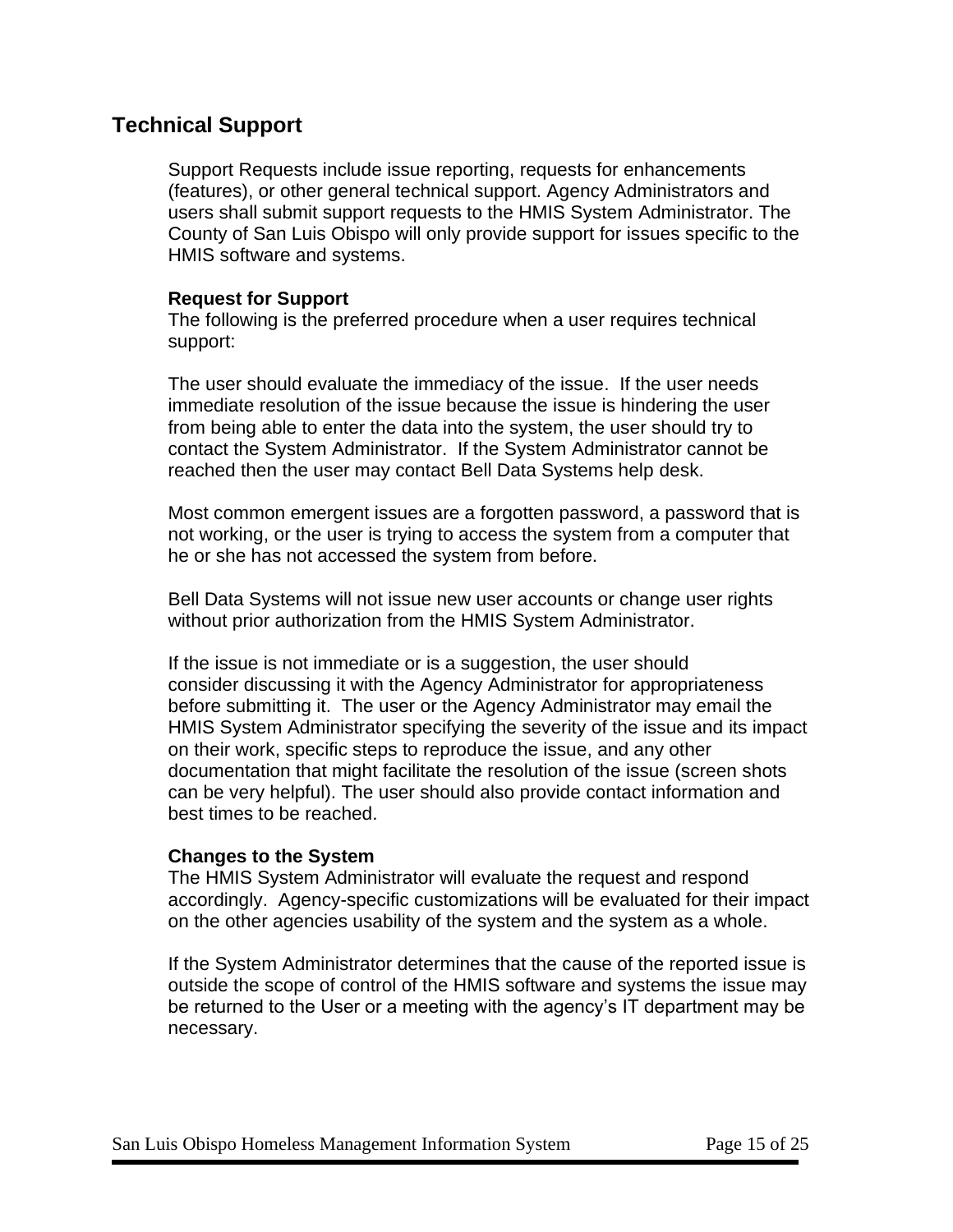## **Technical Support**

Support Requests include issue reporting, requests for enhancements (features), or other general technical support. Agency Administrators and users shall submit support requests to the HMIS System Administrator. The County of San Luis Obispo will only provide support for issues specific to the HMIS software and systems.

#### **Request for Support**

The following is the preferred procedure when a user requires technical support:

The user should evaluate the immediacy of the issue. If the user needs immediate resolution of the issue because the issue is hindering the user from being able to enter the data into the system, the user should try to contact the System Administrator. If the System Administrator cannot be reached then the user may contact Bell Data Systems help desk.

Most common emergent issues are a forgotten password, a password that is not working, or the user is trying to access the system from a computer that he or she has not accessed the system from before.

Bell Data Systems will not issue new user accounts or change user rights without prior authorization from the HMIS System Administrator.

If the issue is not immediate or is a suggestion, the user should consider discussing it with the Agency Administrator for appropriateness before submitting it. The user or the Agency Administrator may email the HMIS System Administrator specifying the severity of the issue and its impact on their work, specific steps to reproduce the issue, and any other documentation that might facilitate the resolution of the issue (screen shots can be very helpful). The user should also provide contact information and best times to be reached.

#### **Changes to the System**

The HMIS System Administrator will evaluate the request and respond accordingly. Agency-specific customizations will be evaluated for their impact on the other agencies usability of the system and the system as a whole.

If the System Administrator determines that the cause of the reported issue is outside the scope of control of the HMIS software and systems the issue may be returned to the User or a meeting with the agency's IT department may be necessary.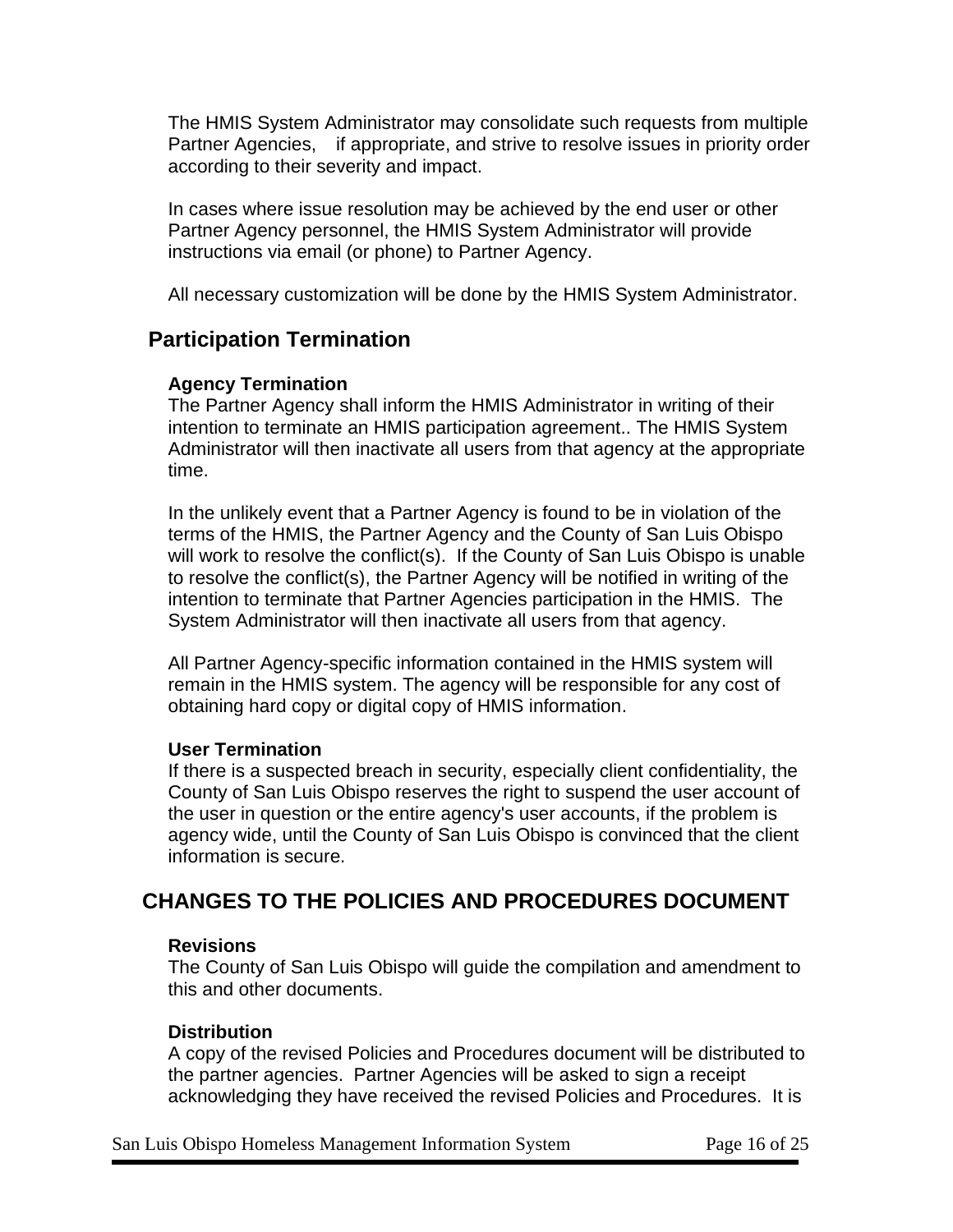The HMIS System Administrator may consolidate such requests from multiple Partner Agencies, if appropriate, and strive to resolve issues in priority order according to their severity and impact.

In cases where issue resolution may be achieved by the end user or other Partner Agency personnel, the HMIS System Administrator will provide instructions via email (or phone) to Partner Agency.

All necessary customization will be done by the HMIS System Administrator.

## **Participation Termination**

#### **Agency Termination**

The Partner Agency shall inform the HMIS Administrator in writing of their intention to terminate an HMIS participation agreement.. The HMIS System Administrator will then inactivate all users from that agency at the appropriate time.

In the unlikely event that a Partner Agency is found to be in violation of the terms of the HMIS, the Partner Agency and the County of San Luis Obispo will work to resolve the conflict(s). If the County of San Luis Obispo is unable to resolve the conflict(s), the Partner Agency will be notified in writing of the intention to terminate that Partner Agencies participation in the HMIS. The System Administrator will then inactivate all users from that agency.

All Partner Agency-specific information contained in the HMIS system will remain in the HMIS system. The agency will be responsible for any cost of obtaining hard copy or digital copy of HMIS information.

#### **User Termination**

If there is a suspected breach in security, especially client confidentiality, the County of San Luis Obispo reserves the right to suspend the user account of the user in question or the entire agency's user accounts, if the problem is agency wide, until the County of San Luis Obispo is convinced that the client information is secure.

## **CHANGES TO THE POLICIES AND PROCEDURES DOCUMENT**

#### **Revisions**

The County of San Luis Obispo will guide the compilation and amendment to this and other documents.

#### **Distribution**

A copy of the revised Policies and Procedures document will be distributed to the partner agencies. Partner Agencies will be asked to sign a receipt acknowledging they have received the revised Policies and Procedures. It is

San Luis Obispo Homeless Management Information System Page 16 of 25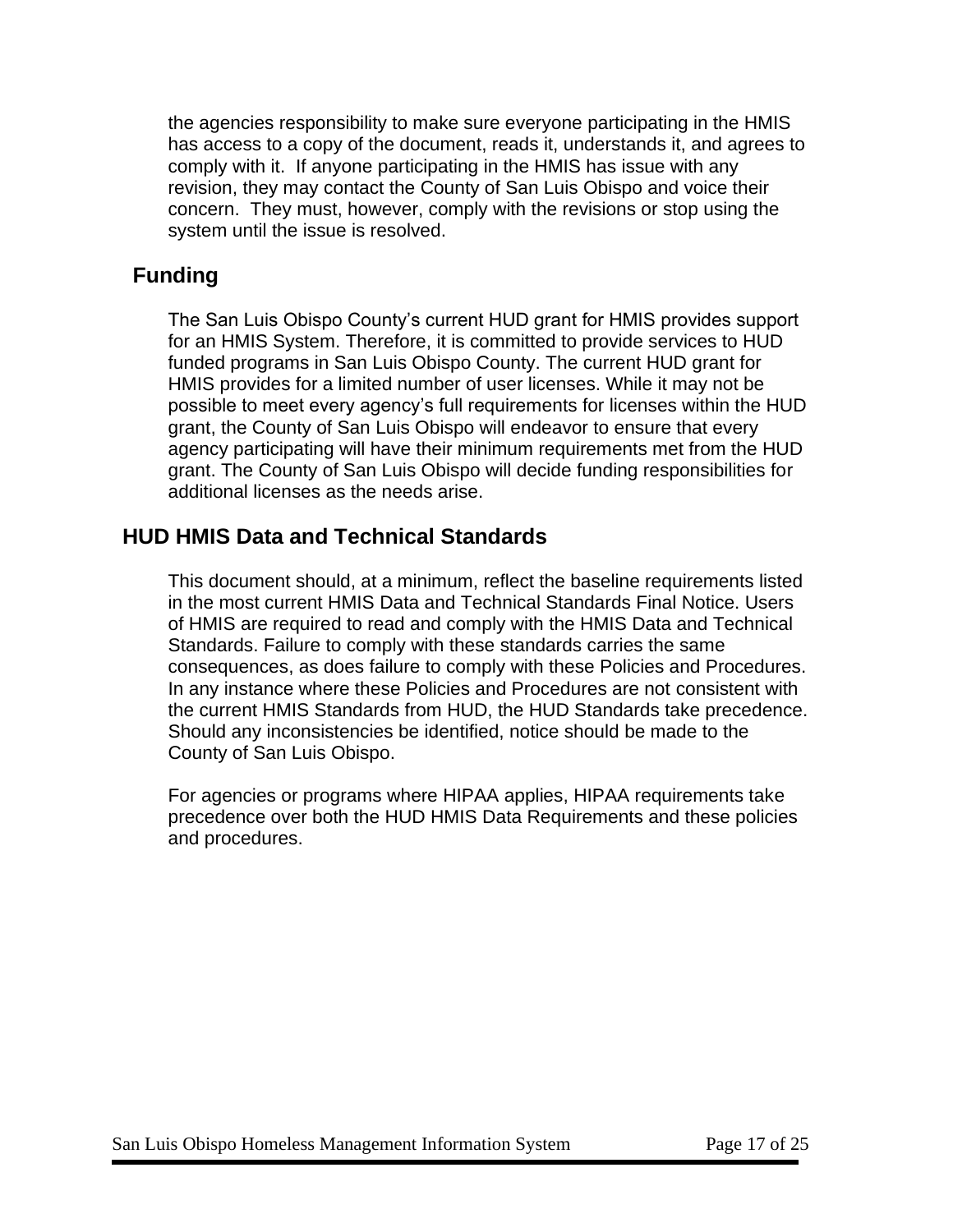the agencies responsibility to make sure everyone participating in the HMIS has access to a copy of the document, reads it, understands it, and agrees to comply with it. If anyone participating in the HMIS has issue with any revision, they may contact the County of San Luis Obispo and voice their concern. They must, however, comply with the revisions or stop using the system until the issue is resolved.

## **Funding**

The San Luis Obispo County's current HUD grant for HMIS provides support for an HMIS System. Therefore, it is committed to provide services to HUD funded programs in San Luis Obispo County. The current HUD grant for HMIS provides for a limited number of user licenses. While it may not be possible to meet every agency's full requirements for licenses within the HUD grant, the County of San Luis Obispo will endeavor to ensure that every agency participating will have their minimum requirements met from the HUD grant. The County of San Luis Obispo will decide funding responsibilities for additional licenses as the needs arise.

## **HUD HMIS Data and Technical Standards**

This document should, at a minimum, reflect the baseline requirements listed in the most current HMIS Data and Technical Standards Final Notice. Users of HMIS are required to read and comply with the HMIS Data and Technical Standards. Failure to comply with these standards carries the same consequences, as does failure to comply with these Policies and Procedures. In any instance where these Policies and Procedures are not consistent with the current HMIS Standards from HUD, the HUD Standards take precedence. Should any inconsistencies be identified, notice should be made to the County of San Luis Obispo.

For agencies or programs where HIPAA applies, HIPAA requirements take precedence over both the HUD HMIS Data Requirements and these policies and procedures.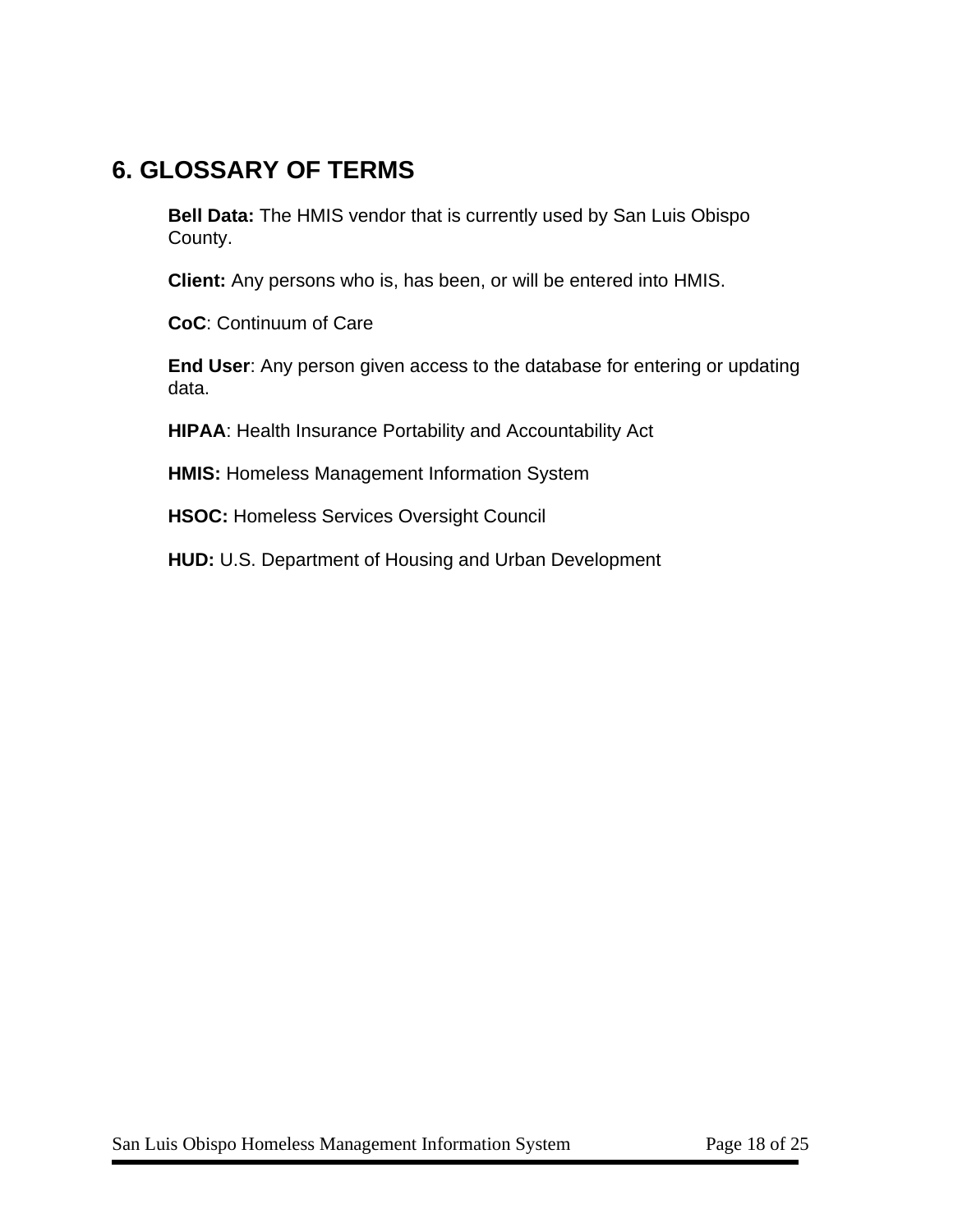## **6. GLOSSARY OF TERMS**

**Bell Data:** The HMIS vendor that is currently used by San Luis Obispo County.

**Client:** Any persons who is, has been, or will be entered into HMIS.

**CoC**: Continuum of Care

**End User**: Any person given access to the database for entering or updating data.

**HIPAA**: Health Insurance Portability and Accountability Act

**HMIS:** Homeless Management Information System

**HSOC:** Homeless Services Oversight Council

**HUD:** U.S. Department of Housing and Urban Development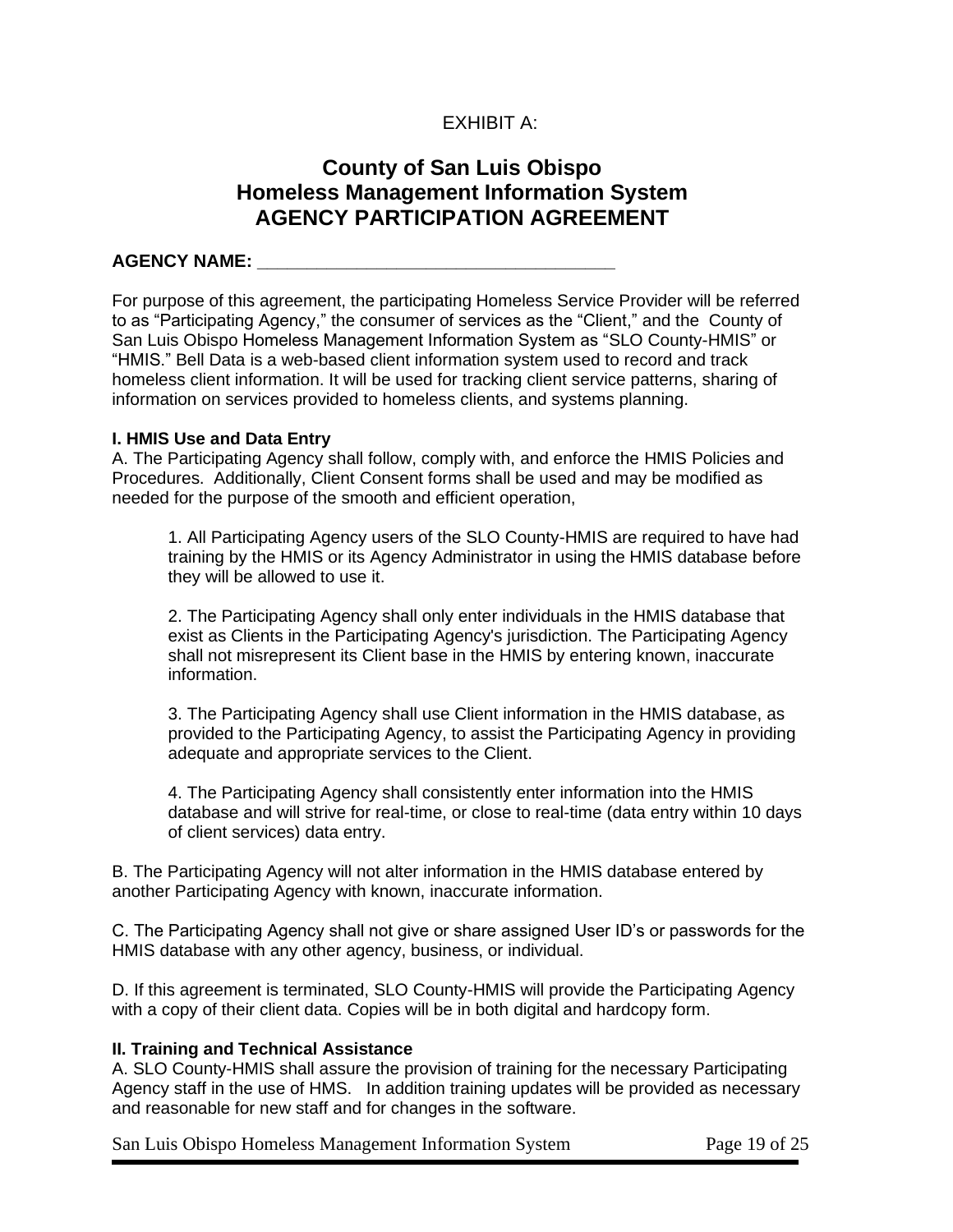#### EXHIBIT A:

## **County of San Luis Obispo Homeless Management Information System AGENCY PARTICIPATION AGREEMENT**

#### **AGENCY NAME: \_\_\_\_\_\_\_\_\_\_\_\_\_\_\_\_\_\_\_\_\_\_\_\_\_\_\_\_\_\_\_\_\_\_\_\_**

For purpose of this agreement, the participating Homeless Service Provider will be referred to as "Participating Agency," the consumer of services as the "Client," and the County of San Luis Obispo Homeless Management Information System as "SLO County-HMIS" or "HMIS." Bell Data is a web-based client information system used to record and track homeless client information. It will be used for tracking client service patterns, sharing of information on services provided to homeless clients, and systems planning.

#### **I. HMIS Use and Data Entry**

A. The Participating Agency shall follow, comply with, and enforce the HMIS Policies and Procedures. Additionally, Client Consent forms shall be used and may be modified as needed for the purpose of the smooth and efficient operation,

1. All Participating Agency users of the SLO County-HMIS are required to have had training by the HMIS or its Agency Administrator in using the HMIS database before they will be allowed to use it.

2. The Participating Agency shall only enter individuals in the HMIS database that exist as Clients in the Participating Agency's jurisdiction. The Participating Agency shall not misrepresent its Client base in the HMIS by entering known, inaccurate information.

3. The Participating Agency shall use Client information in the HMIS database, as provided to the Participating Agency, to assist the Participating Agency in providing adequate and appropriate services to the Client.

4. The Participating Agency shall consistently enter information into the HMIS database and will strive for real-time, or close to real-time (data entry within 10 days of client services) data entry.

B. The Participating Agency will not alter information in the HMIS database entered by another Participating Agency with known, inaccurate information.

C. The Participating Agency shall not give or share assigned User ID's or passwords for the HMIS database with any other agency, business, or individual.

D. If this agreement is terminated, SLO County-HMIS will provide the Participating Agency with a copy of their client data. Copies will be in both digital and hardcopy form.

#### **II. Training and Technical Assistance**

A. SLO County-HMIS shall assure the provision of training for the necessary Participating Agency staff in the use of HMS. In addition training updates will be provided as necessary and reasonable for new staff and for changes in the software.

San Luis Obispo Homeless Management Information System Page 19 of 25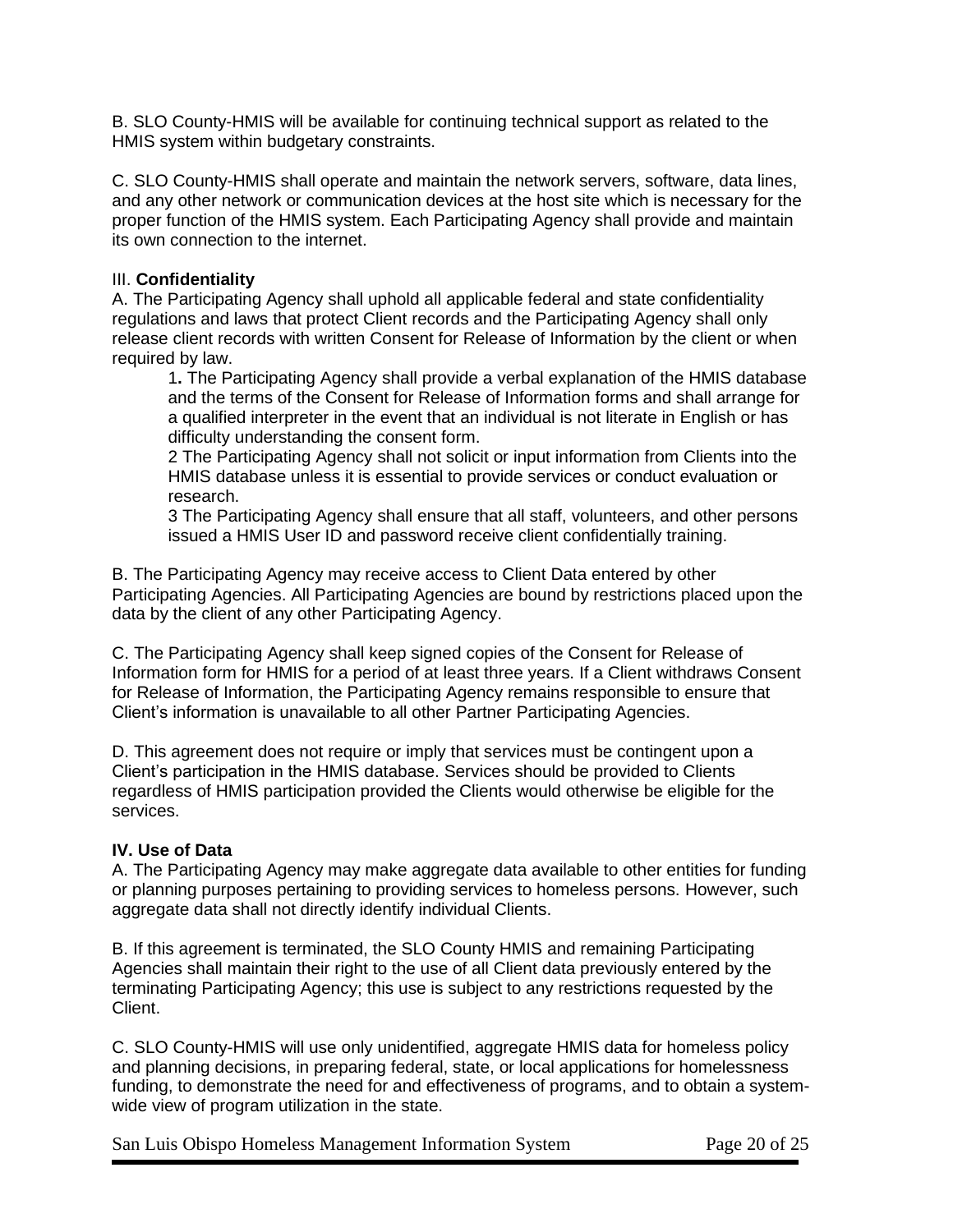B. SLO County-HMIS will be available for continuing technical support as related to the HMIS system within budgetary constraints.

C. SLO County-HMIS shall operate and maintain the network servers, software, data lines, and any other network or communication devices at the host site which is necessary for the proper function of the HMIS system. Each Participating Agency shall provide and maintain its own connection to the internet.

#### III. **Confidentiality**

A. The Participating Agency shall uphold all applicable federal and state confidentiality regulations and laws that protect Client records and the Participating Agency shall only release client records with written Consent for Release of Information by the client or when required by law.

1**.** The Participating Agency shall provide a verbal explanation of the HMIS database and the terms of the Consent for Release of Information forms and shall arrange for a qualified interpreter in the event that an individual is not literate in English or has difficulty understanding the consent form.

2 The Participating Agency shall not solicit or input information from Clients into the HMIS database unless it is essential to provide services or conduct evaluation or research.

3 The Participating Agency shall ensure that all staff, volunteers, and other persons issued a HMIS User ID and password receive client confidentially training.

B. The Participating Agency may receive access to Client Data entered by other Participating Agencies. All Participating Agencies are bound by restrictions placed upon the data by the client of any other Participating Agency.

C. The Participating Agency shall keep signed copies of the Consent for Release of Information form for HMIS for a period of at least three years. If a Client withdraws Consent for Release of Information, the Participating Agency remains responsible to ensure that Client's information is unavailable to all other Partner Participating Agencies.

D. This agreement does not require or imply that services must be contingent upon a Client's participation in the HMIS database. Services should be provided to Clients regardless of HMIS participation provided the Clients would otherwise be eligible for the services.

#### **IV. Use of Data**

A. The Participating Agency may make aggregate data available to other entities for funding or planning purposes pertaining to providing services to homeless persons. However, such aggregate data shall not directly identify individual Clients.

B. If this agreement is terminated, the SLO County HMIS and remaining Participating Agencies shall maintain their right to the use of all Client data previously entered by the terminating Participating Agency; this use is subject to any restrictions requested by the Client.

C. SLO County-HMIS will use only unidentified, aggregate HMIS data for homeless policy and planning decisions, in preparing federal, state, or local applications for homelessness funding, to demonstrate the need for and effectiveness of programs, and to obtain a systemwide view of program utilization in the state.

San Luis Obispo Homeless Management Information System Page 20 of 25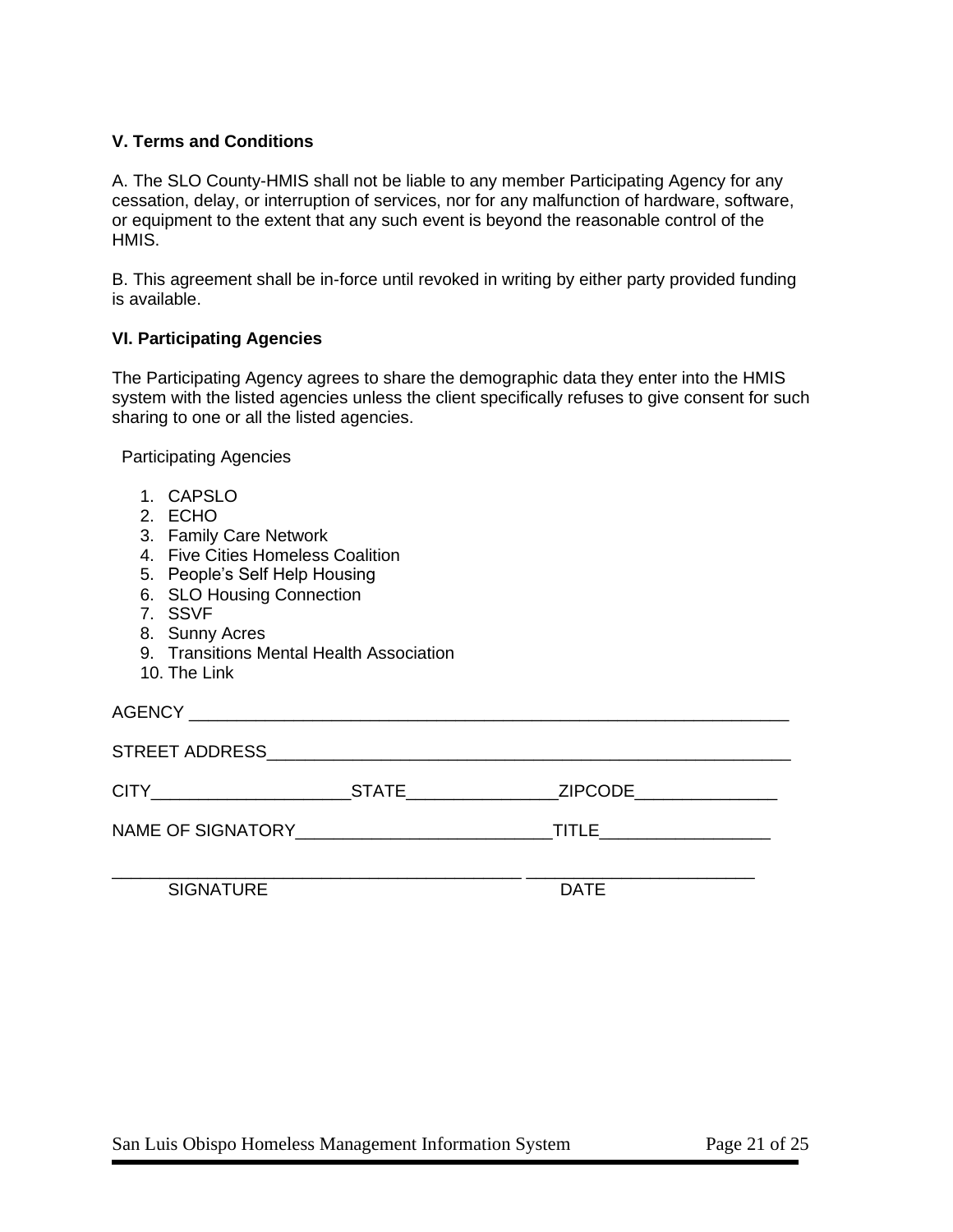#### **V. Terms and Conditions**

A. The SLO County-HMIS shall not be liable to any member Participating Agency for any cessation, delay, or interruption of services, nor for any malfunction of hardware, software, or equipment to the extent that any such event is beyond the reasonable control of the HMIS.

B. This agreement shall be in-force until revoked in writing by either party provided funding is available.

#### **VI. Participating Agencies**

The Participating Agency agrees to share the demographic data they enter into the HMIS system with the listed agencies unless the client specifically refuses to give consent for such sharing to one or all the listed agencies.

Participating Agencies

- 1. CAPSLO
- 2. ECHO
- 3. Family Care Network
- 4. Five Cities Homeless Coalition
- 5. People's Self Help Housing
- 6. SLO Housing Connection
- 7. SSVF
- 8. Sunny Acres
- 9. Transitions Mental Health Association
- 10. The Link

AGENCY ASSESSED AND THE SERVICE SERVICE SERVICE SERVICE SERVICE SERVICE SERVICE SERVICE SERVICE SERVICE SERVICE

| STREET ADDRESS_   |              |                |  |  |  |  |  |
|-------------------|--------------|----------------|--|--|--|--|--|
| CITY              | <b>STATE</b> | <b>ZIPCODE</b> |  |  |  |  |  |
| NAME OF SIGNATORY |              | TITLE          |  |  |  |  |  |
|                   |              |                |  |  |  |  |  |

SIGNATURE DATE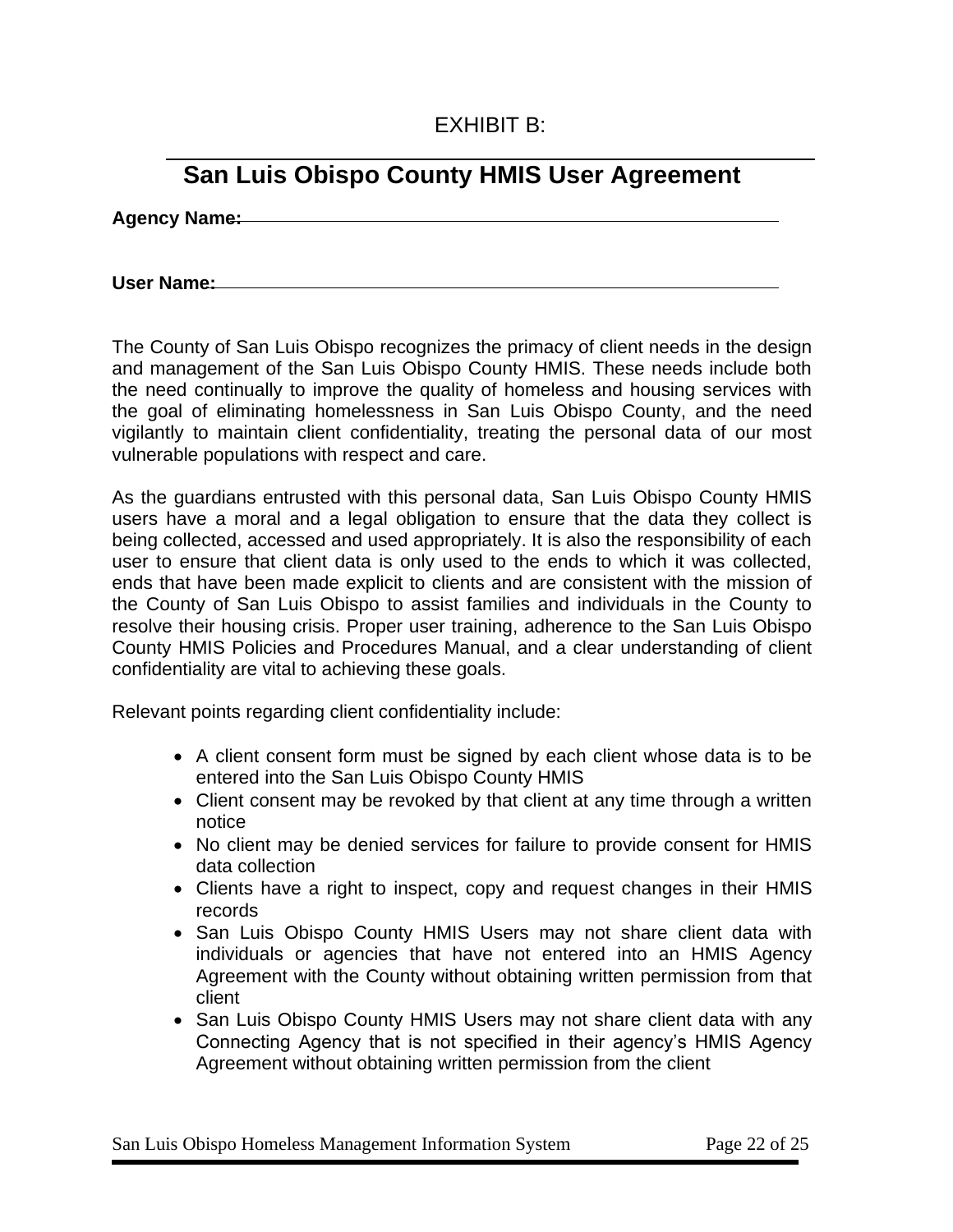## EXHIBIT B:

## **San Luis Obispo County HMIS User Agreement**

**Agency Name:**

**User Name:**

The County of San Luis Obispo recognizes the primacy of client needs in the design and management of the San Luis Obispo County HMIS. These needs include both the need continually to improve the quality of homeless and housing services with the goal of eliminating homelessness in San Luis Obispo County, and the need vigilantly to maintain client confidentiality, treating the personal data of our most vulnerable populations with respect and care.

As the guardians entrusted with this personal data, San Luis Obispo County HMIS users have a moral and a legal obligation to ensure that the data they collect is being collected, accessed and used appropriately. It is also the responsibility of each user to ensure that client data is only used to the ends to which it was collected, ends that have been made explicit to clients and are consistent with the mission of the County of San Luis Obispo to assist families and individuals in the County to resolve their housing crisis. Proper user training, adherence to the San Luis Obispo County HMIS Policies and Procedures Manual, and a clear understanding of client confidentiality are vital to achieving these goals.

Relevant points regarding client confidentiality include:

- A client consent form must be signed by each client whose data is to be entered into the San Luis Obispo County HMIS
- Client consent may be revoked by that client at any time through a written notice
- No client may be denied services for failure to provide consent for HMIS data collection
- Clients have a right to inspect, copy and request changes in their HMIS records
- San Luis Obispo County HMIS Users may not share client data with individuals or agencies that have not entered into an HMIS Agency Agreement with the County without obtaining written permission from that client
- San Luis Obispo County HMIS Users may not share client data with any Connecting Agency that is not specified in their agency's HMIS Agency Agreement without obtaining written permission from the client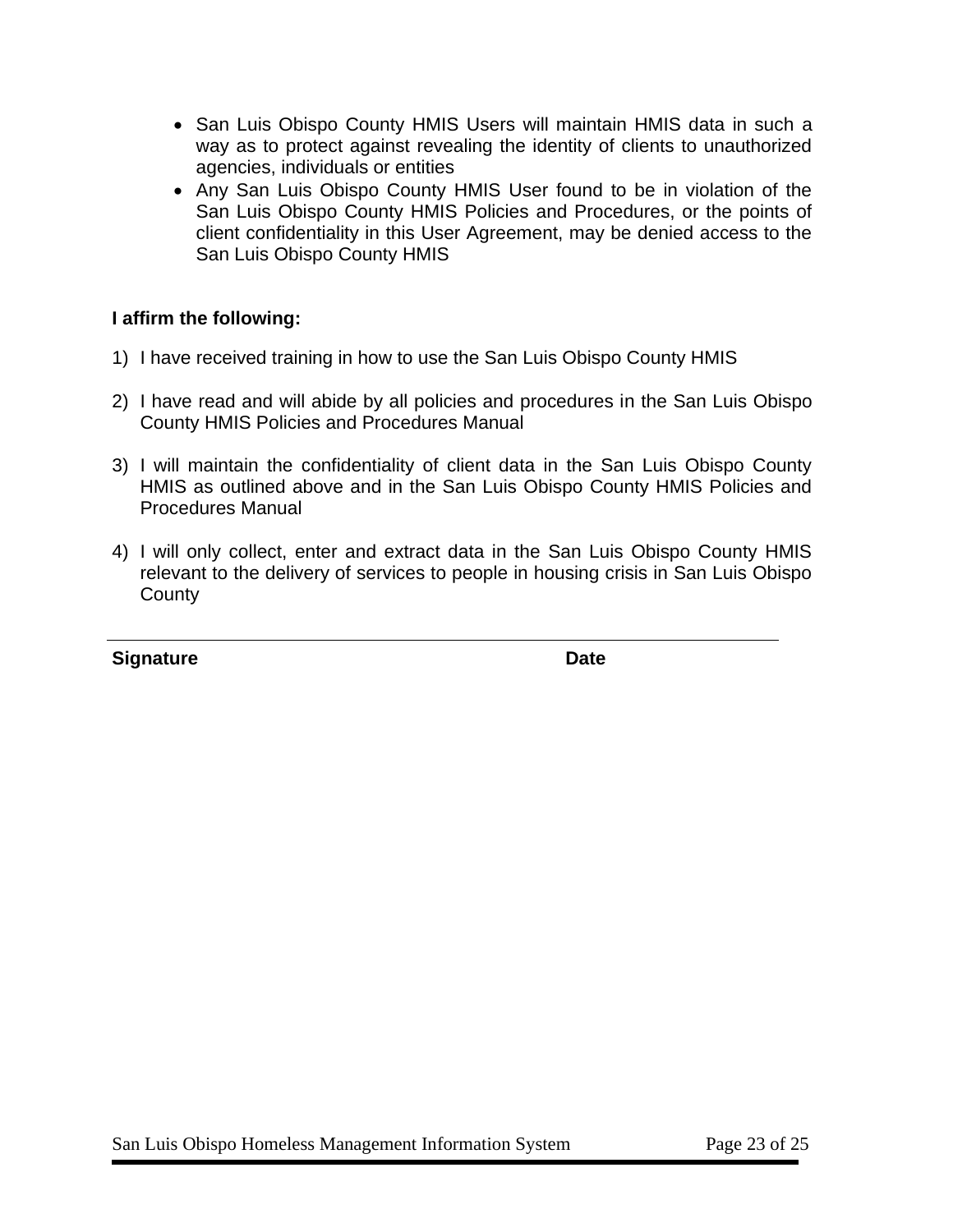- San Luis Obispo County HMIS Users will maintain HMIS data in such a way as to protect against revealing the identity of clients to unauthorized agencies, individuals or entities
- Any San Luis Obispo County HMIS User found to be in violation of the San Luis Obispo County HMIS Policies and Procedures, or the points of client confidentiality in this User Agreement, may be denied access to the San Luis Obispo County HMIS

#### **I affirm the following:**

- 1) I have received training in how to use the San Luis Obispo County HMIS
- 2) I have read and will abide by all policies and procedures in the San Luis Obispo County HMIS Policies and Procedures Manual
- 3) I will maintain the confidentiality of client data in the San Luis Obispo County HMIS as outlined above and in the San Luis Obispo County HMIS Policies and Procedures Manual
- 4) I will only collect, enter and extract data in the San Luis Obispo County HMIS relevant to the delivery of services to people in housing crisis in San Luis Obispo **County**

**Signature Date Contract Contract Contract Contract Contract Contract Contract Contract Contract Contract Contract Contract Contract Contract Contract Contract Contract Contract Contract Contract Contract Contract Contract**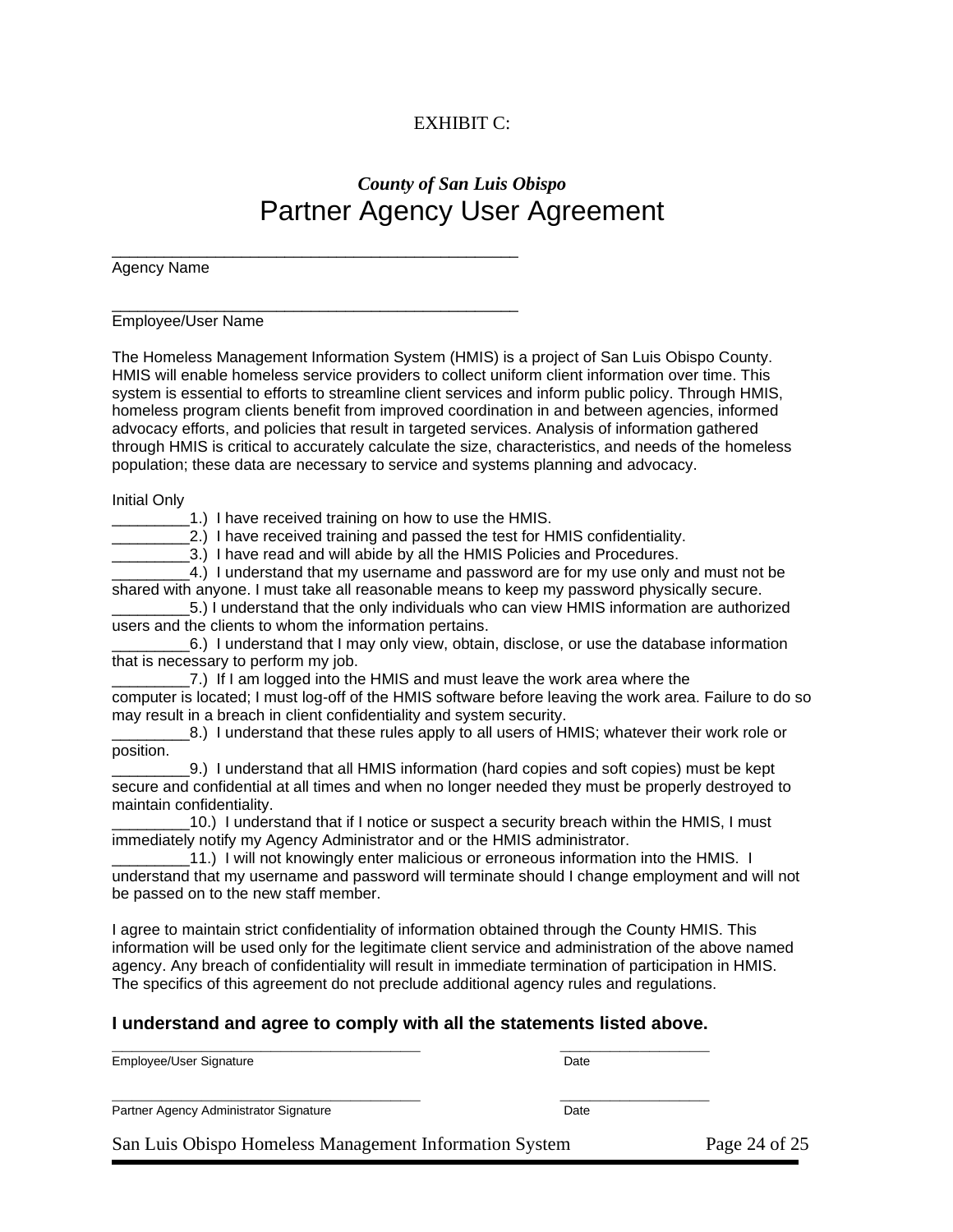#### EXHIBIT C:

## *County of San Luis Obispo* Partner Agency User Agreement

Agency Name

\_\_\_\_\_\_\_\_\_\_\_\_\_\_\_\_\_\_\_\_\_\_\_\_\_\_\_\_\_\_\_\_\_\_\_\_\_\_\_\_\_\_\_\_\_\_\_ Employee/User Name

The Homeless Management Information System (HMIS) is a project of San Luis Obispo County. HMIS will enable homeless service providers to collect uniform client information over time. This system is essential to efforts to streamline client services and inform public policy. Through HMIS, homeless program clients benefit from improved coordination in and between agencies, informed advocacy efforts, and policies that result in targeted services. Analysis of information gathered through HMIS is critical to accurately calculate the size, characteristics, and needs of the homeless population; these data are necessary to service and systems planning and advocacy.

Initial Only

1.) I have received training on how to use the HMIS.

\_\_\_\_\_\_\_\_\_\_\_\_\_\_\_\_\_\_\_\_\_\_\_\_\_\_\_\_\_\_\_\_\_\_\_\_\_\_\_\_\_\_\_\_\_\_\_

\_\_\_\_\_\_\_\_\_2.) I have received training and passed the test for HMIS confidentiality.

\_\_\_\_\_\_\_\_\_3.) I have read and will abide by all the HMIS Policies and Procedures.

4.) I understand that my username and password are for my use only and must not be shared with anyone. I must take all reasonable means to keep my password physically secure.

\_\_\_\_\_\_\_\_\_5.) I understand that the only individuals who can view HMIS information are authorized users and the clients to whom the information pertains.

\_\_\_\_\_\_\_\_\_6.) I understand that I may only view, obtain, disclose, or use the database information that is necessary to perform my job.

7.) If I am logged into the HMIS and must leave the work area where the computer is located; I must log-off of the HMIS software before leaving the work area. Failure to do so may result in a breach in client confidentiality and system security.

8.) I understand that these rules apply to all users of HMIS; whatever their work role or position.

\_\_\_\_\_\_\_\_\_9.) I understand that all HMIS information (hard copies and soft copies) must be kept secure and confidential at all times and when no longer needed they must be properly destroyed to maintain confidentiality.

10.) I understand that if I notice or suspect a security breach within the HMIS, I must immediately notify my Agency Administrator and or the HMIS administrator.

11.) I will not knowingly enter malicious or erroneous information into the HMIS. I understand that my username and password will terminate should I change employment and will not be passed on to the new staff member.

I agree to maintain strict confidentiality of information obtained through the County HMIS. This information will be used only for the legitimate client service and administration of the above named agency. Any breach of confidentiality will result in immediate termination of participation in HMIS. The specifics of this agreement do not preclude additional agency rules and regulations.

#### **I understand and agree to comply with all the statements listed above.**

**\_\_\_\_\_\_\_\_\_\_\_\_\_\_\_\_\_\_\_\_\_\_\_\_\_\_\_\_\_\_\_ \_\_\_\_\_\_\_\_\_\_\_\_\_\_\_** Employee/User Signature Date Date Date

**\_\_\_\_\_\_\_\_\_\_\_\_\_\_\_\_\_\_\_\_\_\_\_\_\_\_\_\_\_\_\_ \_\_\_\_\_\_\_\_\_\_\_\_\_\_\_** Partner Agency Administrator Signature Date

San Luis Obispo Homeless Management Information System Page 24 of 25